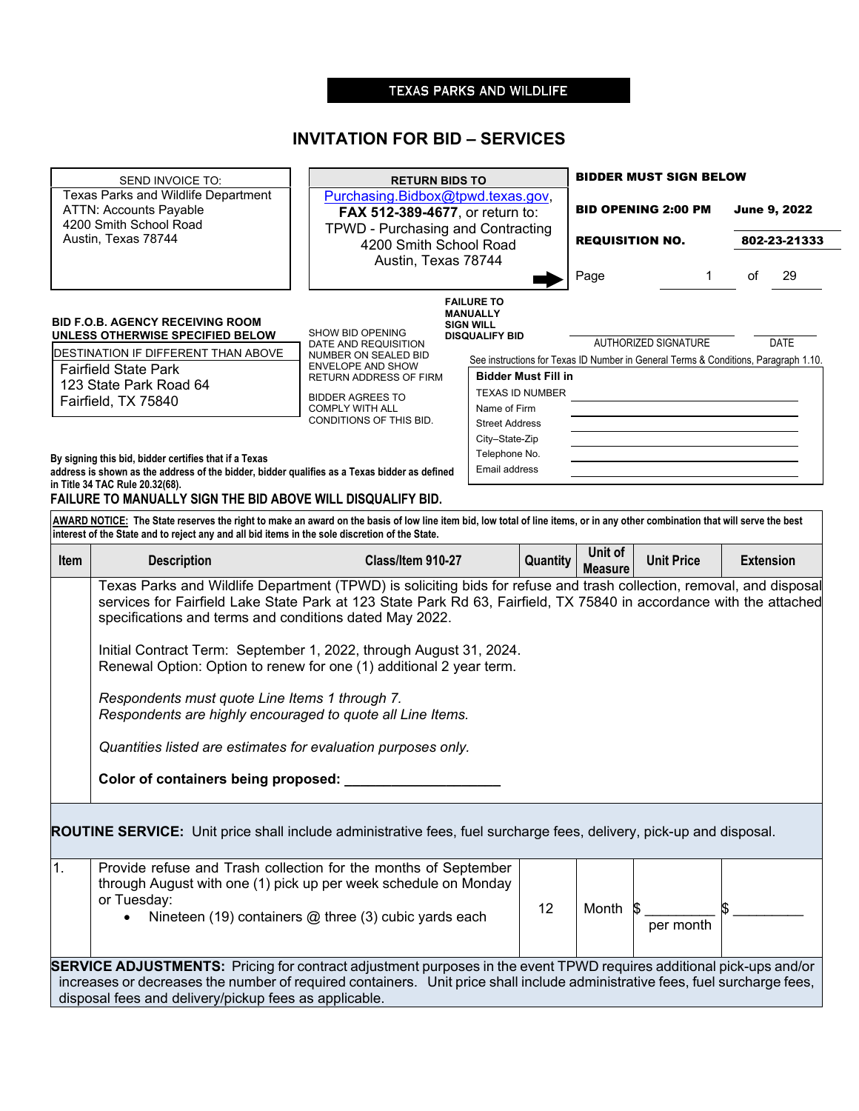## TEXAS PARKS AND WILDLIFE

÷

# **INVITATION FOR BID – SERVICES**

| SEND INVOICE TO:<br>Texas Parks and Wildlife Department<br><b>ATTN: Accounts Payable</b><br>4200 Smith School Road<br>Austin, Texas 78744 |                                                                                                                                                                                                                                                                                                                                                                                                                                                                                                                                                                                                                                                                                   | <b>RETURN BIDS TO</b>                                                   |                                                                                                                   |                 | <b>BIDDER MUST SIGN BELOW</b> |                      |    |                                     |  |
|-------------------------------------------------------------------------------------------------------------------------------------------|-----------------------------------------------------------------------------------------------------------------------------------------------------------------------------------------------------------------------------------------------------------------------------------------------------------------------------------------------------------------------------------------------------------------------------------------------------------------------------------------------------------------------------------------------------------------------------------------------------------------------------------------------------------------------------------|-------------------------------------------------------------------------|-------------------------------------------------------------------------------------------------------------------|-----------------|-------------------------------|----------------------|----|-------------------------------------|--|
|                                                                                                                                           |                                                                                                                                                                                                                                                                                                                                                                                                                                                                                                                                                                                                                                                                                   | Purchasing.Bidbox@tpwd.texas.gov,                                       |                                                                                                                   |                 | <b>BID OPENING 2:00 PM</b>    |                      |    | <b>June 9, 2022</b><br>802-23-21333 |  |
|                                                                                                                                           |                                                                                                                                                                                                                                                                                                                                                                                                                                                                                                                                                                                                                                                                                   |                                                                         | FAX 512-389-4677, or return to:<br>TPWD - Purchasing and Contracting                                              |                 |                               |                      |    |                                     |  |
|                                                                                                                                           |                                                                                                                                                                                                                                                                                                                                                                                                                                                                                                                                                                                                                                                                                   |                                                                         | 4200 Smith School Road<br>Austin, Texas 78744                                                                     |                 | <b>REQUISITION NO.</b>        |                      |    |                                     |  |
|                                                                                                                                           |                                                                                                                                                                                                                                                                                                                                                                                                                                                                                                                                                                                                                                                                                   |                                                                         |                                                                                                                   |                 | Page                          | 1                    | of | 29                                  |  |
|                                                                                                                                           | <b>BID F.O.B. AGENCY RECEIVING ROOM</b><br>UNLESS OTHERWISE SPECIFIED BELOW<br>DESTINATION IF DIFFERENT THAN ABOVE                                                                                                                                                                                                                                                                                                                                                                                                                                                                                                                                                                | <b>SHOW BID OPENING</b><br>DATE AND REQUISITION<br>NUMBER ON SEALED BID | <b>FAILURE TO</b><br><b>MANUALLY</b><br><b>SIGN WILL</b><br><b>DISQUALIFY BID</b>                                 |                 |                               | AUTHORIZED SIGNATURE |    | <b>DATE</b>                         |  |
|                                                                                                                                           | <b>Fairfield State Park</b>                                                                                                                                                                                                                                                                                                                                                                                                                                                                                                                                                                                                                                                       | <b>ENVELOPE AND SHOW</b><br>RETURN ADDRESS OF FIRM                      | See instructions for Texas ID Number in General Terms & Conditions, Paragraph 1.10.<br><b>Bidder Must Fill in</b> |                 |                               |                      |    |                                     |  |
|                                                                                                                                           | 123 State Park Road 64                                                                                                                                                                                                                                                                                                                                                                                                                                                                                                                                                                                                                                                            |                                                                         |                                                                                                                   | TEXAS ID NUMBER |                               |                      |    |                                     |  |
|                                                                                                                                           | Fairfield, TX 75840                                                                                                                                                                                                                                                                                                                                                                                                                                                                                                                                                                                                                                                               | <b>BIDDER AGREES TO</b><br><b>COMPLY WITH ALL</b>                       | Name of Firm                                                                                                      |                 |                               |                      |    |                                     |  |
|                                                                                                                                           |                                                                                                                                                                                                                                                                                                                                                                                                                                                                                                                                                                                                                                                                                   | CONDITIONS OF THIS BID.                                                 | <b>Street Address</b>                                                                                             |                 |                               |                      |    |                                     |  |
|                                                                                                                                           |                                                                                                                                                                                                                                                                                                                                                                                                                                                                                                                                                                                                                                                                                   |                                                                         | City–State-Zip                                                                                                    |                 |                               |                      |    |                                     |  |
|                                                                                                                                           | By signing this bid, bidder certifies that if a Texas                                                                                                                                                                                                                                                                                                                                                                                                                                                                                                                                                                                                                             |                                                                         | Telephone No.                                                                                                     |                 |                               |                      |    |                                     |  |
|                                                                                                                                           | address is shown as the address of the bidder, bidder qualifies as a Texas bidder as defined                                                                                                                                                                                                                                                                                                                                                                                                                                                                                                                                                                                      |                                                                         | Email address                                                                                                     |                 |                               |                      |    |                                     |  |
|                                                                                                                                           | in Title 34 TAC Rule 20.32(68).<br>FAILURE TO MANUALLY SIGN THE BID ABOVE WILL DISQUALIFY BID.                                                                                                                                                                                                                                                                                                                                                                                                                                                                                                                                                                                    |                                                                         |                                                                                                                   |                 |                               |                      |    |                                     |  |
|                                                                                                                                           | AWARD NOTICE: The State reserves the right to make an award on the basis of low line item bid, low total of line items, or in any other combination that will serve the best<br>interest of the State and to reject any and all bid items in the sole discretion of the State.                                                                                                                                                                                                                                                                                                                                                                                                    |                                                                         |                                                                                                                   |                 |                               |                      |    |                                     |  |
| Item                                                                                                                                      | <b>Description</b>                                                                                                                                                                                                                                                                                                                                                                                                                                                                                                                                                                                                                                                                | Class/Item 910-27                                                       |                                                                                                                   | <b>Quantity</b> | Unit of<br><b>Measure</b>     | <b>Unit Price</b>    |    | <b>Extension</b>                    |  |
|                                                                                                                                           | services for Fairfield Lake State Park at 123 State Park Rd 63, Fairfield, TX 75840 in accordance with the attached<br>specifications and terms and conditions dated May 2022.<br>Initial Contract Term: September 1, 2022, through August 31, 2024.<br>Renewal Option: Option to renew for one (1) additional 2 year term.<br>Respondents must quote Line Items 1 through 7.<br>Respondents are highly encouraged to quote all Line Items.<br>Quantities listed are estimates for evaluation purposes only.<br>Color of containers being proposed:<br><b>ROUTINE SERVICE:</b> Unit price shall include administrative fees, fuel surcharge fees, delivery, pick-up and disposal. |                                                                         |                                                                                                                   |                 |                               |                      |    |                                     |  |
| 1.                                                                                                                                        | Provide refuse and Trash collection for the months of September<br>through August with one (1) pick up per week schedule on Monday<br>or Tuesday:                                                                                                                                                                                                                                                                                                                                                                                                                                                                                                                                 | Nineteen (19) containers @ three (3) cubic yards each                   |                                                                                                                   | 12              | Month                         | per month            |    |                                     |  |
|                                                                                                                                           | <b>SERVICE ADJUSTMENTS:</b> Pricing for contract adjustment purposes in the event TPWD requires additional pick-ups and/or<br>increases or decreases the number of required containers. Unit price shall include administrative fees, fuel surcharge fees,<br>disposal fees and delivery/pickup fees as applicable.                                                                                                                                                                                                                                                                                                                                                               |                                                                         |                                                                                                                   |                 |                               |                      |    |                                     |  |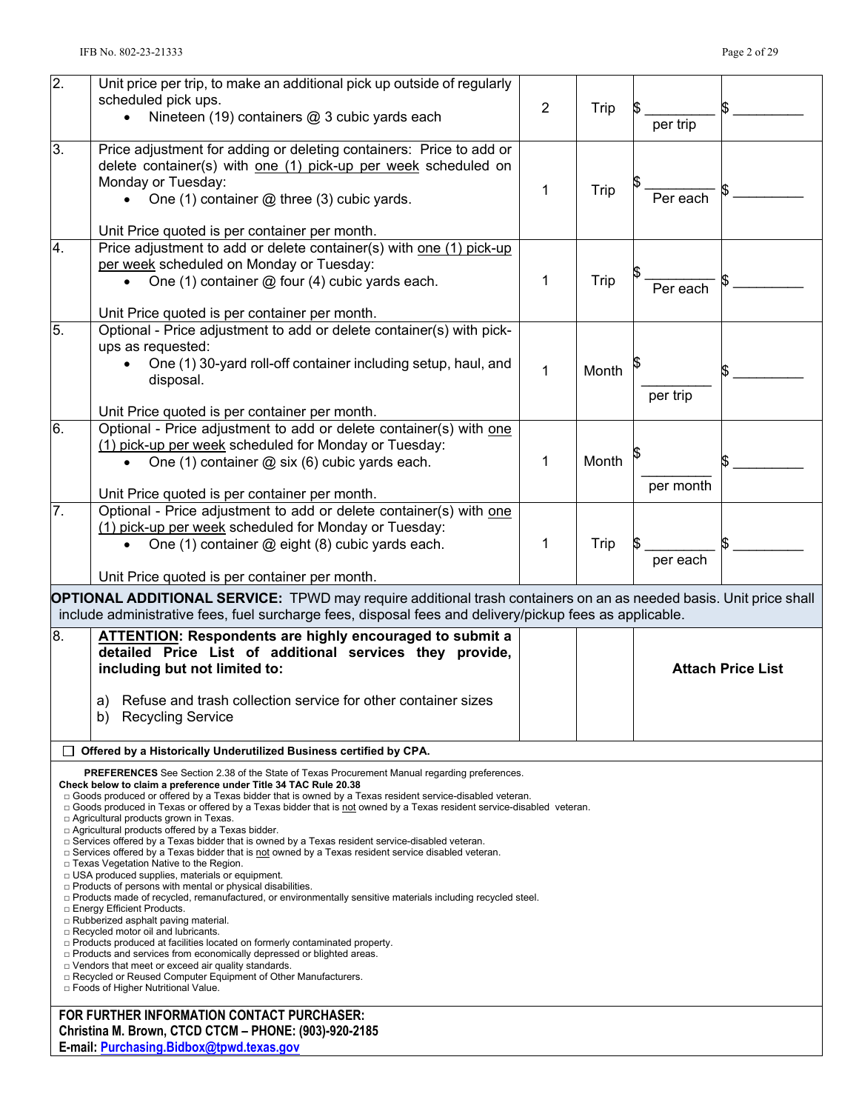| $\overline{2}$ . | Unit price per trip, to make an additional pick up outside of regularly                                                                                                                                                             |                |       |           |                          |
|------------------|-------------------------------------------------------------------------------------------------------------------------------------------------------------------------------------------------------------------------------------|----------------|-------|-----------|--------------------------|
|                  | scheduled pick ups.                                                                                                                                                                                                                 | $\overline{2}$ |       |           |                          |
|                  | Nineteen (19) containers @ 3 cubic yards each                                                                                                                                                                                       |                | Trip  |           |                          |
|                  |                                                                                                                                                                                                                                     |                |       | per trip  |                          |
| 3.               | Price adjustment for adding or deleting containers: Price to add or                                                                                                                                                                 |                |       |           |                          |
|                  | delete container(s) with one (1) pick-up per week scheduled on                                                                                                                                                                      |                |       |           |                          |
|                  | Monday or Tuesday:                                                                                                                                                                                                                  | 1              | Trip  |           |                          |
|                  | • One $(1)$ container $@$ three $(3)$ cubic yards.                                                                                                                                                                                  |                |       | Per each  |                          |
|                  |                                                                                                                                                                                                                                     |                |       |           |                          |
|                  | Unit Price quoted is per container per month.                                                                                                                                                                                       |                |       |           |                          |
| 4.               | Price adjustment to add or delete container(s) with one (1) pick-up                                                                                                                                                                 |                |       |           |                          |
|                  | per week scheduled on Monday or Tuesday:                                                                                                                                                                                            |                |       |           |                          |
|                  | One (1) container @ four (4) cubic yards each.                                                                                                                                                                                      | 1              | Trip  | Per each  |                          |
|                  |                                                                                                                                                                                                                                     |                |       |           |                          |
|                  | Unit Price quoted is per container per month.                                                                                                                                                                                       |                |       |           |                          |
| 5.               | Optional - Price adjustment to add or delete container(s) with pick-                                                                                                                                                                |                |       |           |                          |
|                  | ups as requested:                                                                                                                                                                                                                   |                |       |           |                          |
|                  | One (1) 30-yard roll-off container including setup, haul, and                                                                                                                                                                       | 1              | Month |           |                          |
|                  | disposal.                                                                                                                                                                                                                           |                |       |           |                          |
|                  |                                                                                                                                                                                                                                     |                |       | per trip  |                          |
|                  | Unit Price quoted is per container per month.                                                                                                                                                                                       |                |       |           |                          |
| 6.               | Optional - Price adjustment to add or delete container(s) with one                                                                                                                                                                  |                |       |           |                          |
|                  | (1) pick-up per week scheduled for Monday or Tuesday:                                                                                                                                                                               |                |       |           |                          |
|                  | One (1) container $\omega$ six (6) cubic yards each.                                                                                                                                                                                | 1              | Month |           |                          |
|                  |                                                                                                                                                                                                                                     |                |       | per month |                          |
|                  | Unit Price quoted is per container per month.                                                                                                                                                                                       |                |       |           |                          |
| 7.               | Optional - Price adjustment to add or delete container(s) with one                                                                                                                                                                  |                |       |           |                          |
|                  | (1) pick-up per week scheduled for Monday or Tuesday:                                                                                                                                                                               |                |       |           |                          |
|                  | One (1) container @ eight (8) cubic yards each.<br>$\bullet$                                                                                                                                                                        | 1              | Trip  |           |                          |
|                  |                                                                                                                                                                                                                                     |                |       | per each  |                          |
|                  | Unit Price quoted is per container per month.                                                                                                                                                                                       |                |       |           |                          |
|                  | <b>OPTIONAL ADDITIONAL SERVICE:</b> TPWD may require additional trash containers on an as needed basis. Unit price shall                                                                                                            |                |       |           |                          |
|                  | include administrative fees, fuel surcharge fees, disposal fees and delivery/pickup fees as applicable.                                                                                                                             |                |       |           |                          |
| 8.               | ATTENTION: Respondents are highly encouraged to submit a                                                                                                                                                                            |                |       |           |                          |
|                  | detailed Price List of additional services they provide,                                                                                                                                                                            |                |       |           |                          |
|                  | including but not limited to:                                                                                                                                                                                                       |                |       |           | <b>Attach Price List</b> |
|                  |                                                                                                                                                                                                                                     |                |       |           |                          |
|                  | a) Refuse and trash collection service for other container sizes                                                                                                                                                                    |                |       |           |                          |
|                  | b) Recycling Service                                                                                                                                                                                                                |                |       |           |                          |
|                  |                                                                                                                                                                                                                                     |                |       |           |                          |
| ப                | Offered by a Historically Underutilized Business certified by CPA.                                                                                                                                                                  |                |       |           |                          |
|                  | <b>PREFERENCES</b> See Section 2.38 of the State of Texas Procurement Manual regarding preferences.                                                                                                                                 |                |       |           |                          |
|                  | Check below to claim a preference under Title 34 TAC Rule 20.38                                                                                                                                                                     |                |       |           |                          |
|                  | □ Goods produced or offered by a Texas bidder that is owned by a Texas resident service-disabled veteran.<br>□ Goods produced in Texas or offered by a Texas bidder that is not owned by a Texas resident service-disabled veteran. |                |       |           |                          |
|                  | □ Agricultural products grown in Texas.                                                                                                                                                                                             |                |       |           |                          |
|                  | □ Agricultural products offered by a Texas bidder.<br>□ Services offered by a Texas bidder that is owned by a Texas resident service-disabled veteran.                                                                              |                |       |           |                          |
|                  | $\Box$ Services offered by a Texas bidder that is not owned by a Texas resident service disabled veteran.                                                                                                                           |                |       |           |                          |
|                  | □ Texas Vegetation Native to the Region.                                                                                                                                                                                            |                |       |           |                          |
|                  | □ USA produced supplies, materials or equipment.                                                                                                                                                                                    |                |       |           |                          |
|                  | <b>D</b> Products of persons with mental or physical disabilities.                                                                                                                                                                  |                |       |           |                          |
|                  | $\Box$ Products made of recycled, remanufactured, or environmentally sensitive materials including recycled steel.<br>□ Energy Efficient Products.                                                                                  |                |       |           |                          |
|                  | □ Rubberized asphalt paving material.                                                                                                                                                                                               |                |       |           |                          |
|                  | □ Recycled motor oil and lubricants.                                                                                                                                                                                                |                |       |           |                          |
|                  | □ Products produced at facilities located on formerly contaminated property.<br>□ Products and services from economically depressed or blighted areas.                                                                              |                |       |           |                          |
|                  | $\Box$ Vendors that meet or exceed air quality standards.                                                                                                                                                                           |                |       |           |                          |
|                  | □ Recycled or Reused Computer Equipment of Other Manufacturers.<br>□ Foods of Higher Nutritional Value.                                                                                                                             |                |       |           |                          |
|                  |                                                                                                                                                                                                                                     |                |       |           |                          |
|                  | FOR FURTHER INFORMATION CONTACT PURCHASER:                                                                                                                                                                                          |                |       |           |                          |
|                  | Christina M. Brown, CTCD CTCM - PHONE: (903)-920-2185<br>E-mail: Purchasing.Bidbox@tpwd.texas.gov                                                                                                                                   |                |       |           |                          |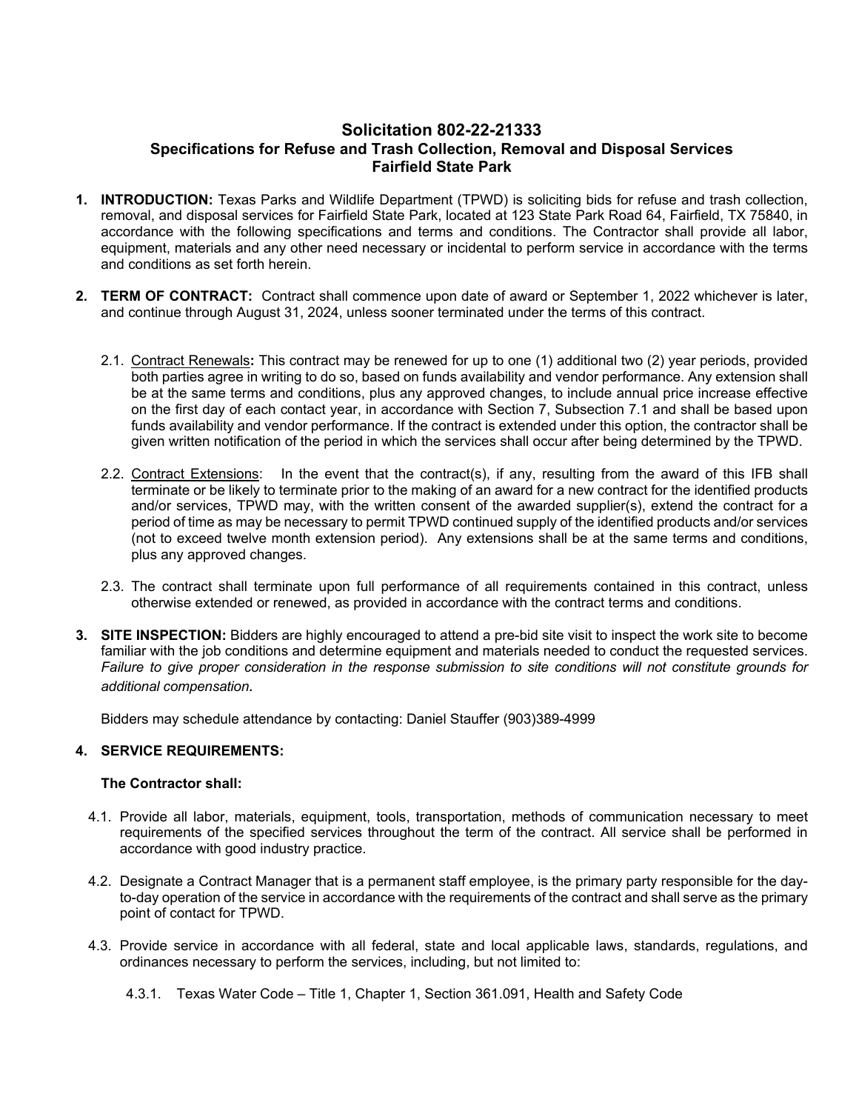## **Solicitation 802-22-21333 Specifications for Refuse and Trash Collection, Removal and Disposal Services Fairfield State Park**

- **1. INTRODUCTION:** Texas Parks and Wildlife Department (TPWD) is soliciting bids for refuse and trash collection, removal, and disposal services for Fairfield State Park, located at 123 State Park Road 64, Fairfield, TX 75840, in accordance with the following specifications and terms and conditions. The Contractor shall provide all labor, equipment, materials and any other need necessary or incidental to perform service in accordance with the terms and conditions as set forth herein.
- **2. TERM OF CONTRACT:** Contract shall commence upon date of award or September 1, 2022 whichever is later, and continue through August 31, 2024, unless sooner terminated under the terms of this contract.
	- 2.1. Contract Renewals**:** This contract may be renewed for up to one (1) additional two (2) year periods, provided both parties agree in writing to do so, based on funds availability and vendor performance. Any extension shall be at the same terms and conditions, plus any approved changes, to include annual price increase effective on the first day of each contact year, in accordance with Section 7, Subsection 7.1 and shall be based upon funds availability and vendor performance. If the contract is extended under this option, the contractor shall be given written notification of the period in which the services shall occur after being determined by the TPWD.
	- 2.2. Contract Extensions: In the event that the contract(s), if any, resulting from the award of this IFB shall terminate or be likely to terminate prior to the making of an award for a new contract for the identified products and/or services, TPWD may, with the written consent of the awarded supplier(s), extend the contract for a period of time as may be necessary to permit TPWD continued supply of the identified products and/or services (not to exceed twelve month extension period). Any extensions shall be at the same terms and conditions, plus any approved changes.
	- 2.3. The contract shall terminate upon full performance of all requirements contained in this contract, unless otherwise extended or renewed, as provided in accordance with the contract terms and conditions.
- **3. SITE INSPECTION:** Bidders are highly encouraged to attend a pre-bid site visit to inspect the work site to become familiar with the job conditions and determine equipment and materials needed to conduct the requested services. *Failure to give proper consideration in the response submission to site conditions will not constitute grounds for additional compensation.*

Bidders may schedule attendance by contacting: Daniel Stauffer (903)389-4999

#### **4. SERVICE REQUIREMENTS:**

#### **The Contractor shall:**

- 4.1. Provide all labor, materials, equipment, tools, transportation, methods of communication necessary to meet requirements of the specified services throughout the term of the contract. All service shall be performed in accordance with good industry practice.
- 4.2. Designate a Contract Manager that is a permanent staff employee, is the primary party responsible for the dayto-day operation of the service in accordance with the requirements of the contract and shall serve as the primary point of contact for TPWD.
- 4.3. Provide service in accordance with all federal, state and local applicable laws, standards, regulations, and ordinances necessary to perform the services, including, but not limited to:
	- 4.3.1. Texas Water Code Title 1, Chapter 1, Section 361.091, Health and Safety Code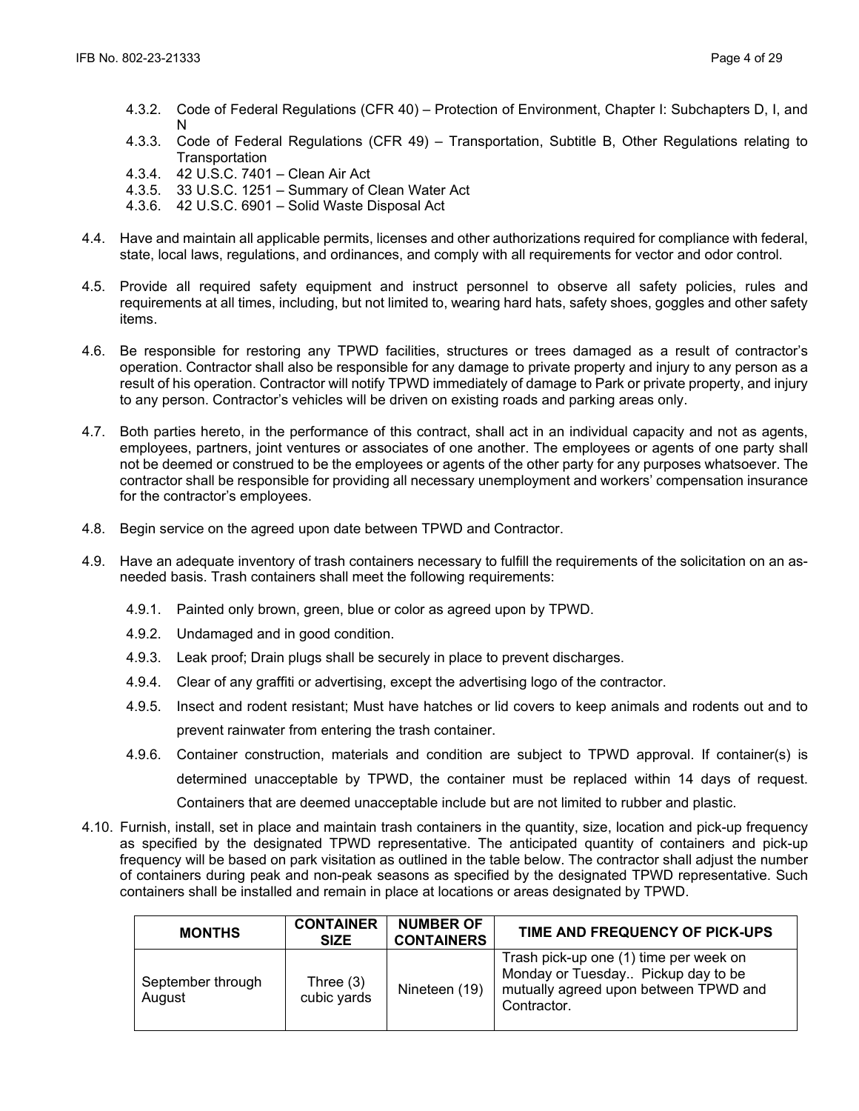- 4.3.2. Code of Federal Regulations (CFR 40) Protection of Environment, Chapter I: Subchapters D, I, and N
- 4.3.3. Code of Federal Regulations (CFR 49) Transportation, Subtitle B, Other Regulations relating to **Transportation**
- 4.3.4. 42 U.S.C. 7401 Clean Air Act
- 4.3.5. 33 U.S.C. 1251 Summary of Clean Water Act
- 4.3.6. 42 U.S.C. 6901 Solid Waste Disposal Act
- 4.4. Have and maintain all applicable permits, licenses and other authorizations required for compliance with federal, state, local laws, regulations, and ordinances, and comply with all requirements for vector and odor control.
- 4.5. Provide all required safety equipment and instruct personnel to observe all safety policies, rules and requirements at all times, including, but not limited to, wearing hard hats, safety shoes, goggles and other safety items.
- 4.6. Be responsible for restoring any TPWD facilities, structures or trees damaged as a result of contractor's operation. Contractor shall also be responsible for any damage to private property and injury to any person as a result of his operation. Contractor will notify TPWD immediately of damage to Park or private property, and injury to any person. Contractor's vehicles will be driven on existing roads and parking areas only.
- 4.7. Both parties hereto, in the performance of this contract, shall act in an individual capacity and not as agents, employees, partners, joint ventures or associates of one another. The employees or agents of one party shall not be deemed or construed to be the employees or agents of the other party for any purposes whatsoever. The contractor shall be responsible for providing all necessary unemployment and workers' compensation insurance for the contractor's employees.
- 4.8. Begin service on the agreed upon date between TPWD and Contractor.
- 4.9. Have an adequate inventory of trash containers necessary to fulfill the requirements of the solicitation on an asneeded basis. Trash containers shall meet the following requirements:
	- 4.9.1. Painted only brown, green, blue or color as agreed upon by TPWD.
	- 4.9.2. Undamaged and in good condition.
	- 4.9.3. Leak proof; Drain plugs shall be securely in place to prevent discharges.
	- 4.9.4. Clear of any graffiti or advertising, except the advertising logo of the contractor.
	- 4.9.5. Insect and rodent resistant; Must have hatches or lid covers to keep animals and rodents out and to prevent rainwater from entering the trash container.
	- 4.9.6. Container construction, materials and condition are subject to TPWD approval. If container(s) is determined unacceptable by TPWD, the container must be replaced within 14 days of request. Containers that are deemed unacceptable include but are not limited to rubber and plastic.
- 4.10. Furnish, install, set in place and maintain trash containers in the quantity, size, location and pick-up frequency as specified by the designated TPWD representative. The anticipated quantity of containers and pick-up frequency will be based on park visitation as outlined in the table below. The contractor shall adjust the number of containers during peak and non-peak seasons as specified by the designated TPWD representative. Such containers shall be installed and remain in place at locations or areas designated by TPWD.

| <b>MONTHS</b>               | <b>CONTAINER</b><br><b>SIZE</b> | <b>NUMBER OF</b><br><b>CONTAINERS</b> | TIME AND FREQUENCY OF PICK-UPS                                                                                                       |
|-----------------------------|---------------------------------|---------------------------------------|--------------------------------------------------------------------------------------------------------------------------------------|
| September through<br>August | Three $(3)$<br>cubic yards      | Nineteen (19)                         | Trash pick-up one (1) time per week on<br>Monday or Tuesday Pickup day to be<br>mutually agreed upon between TPWD and<br>Contractor. |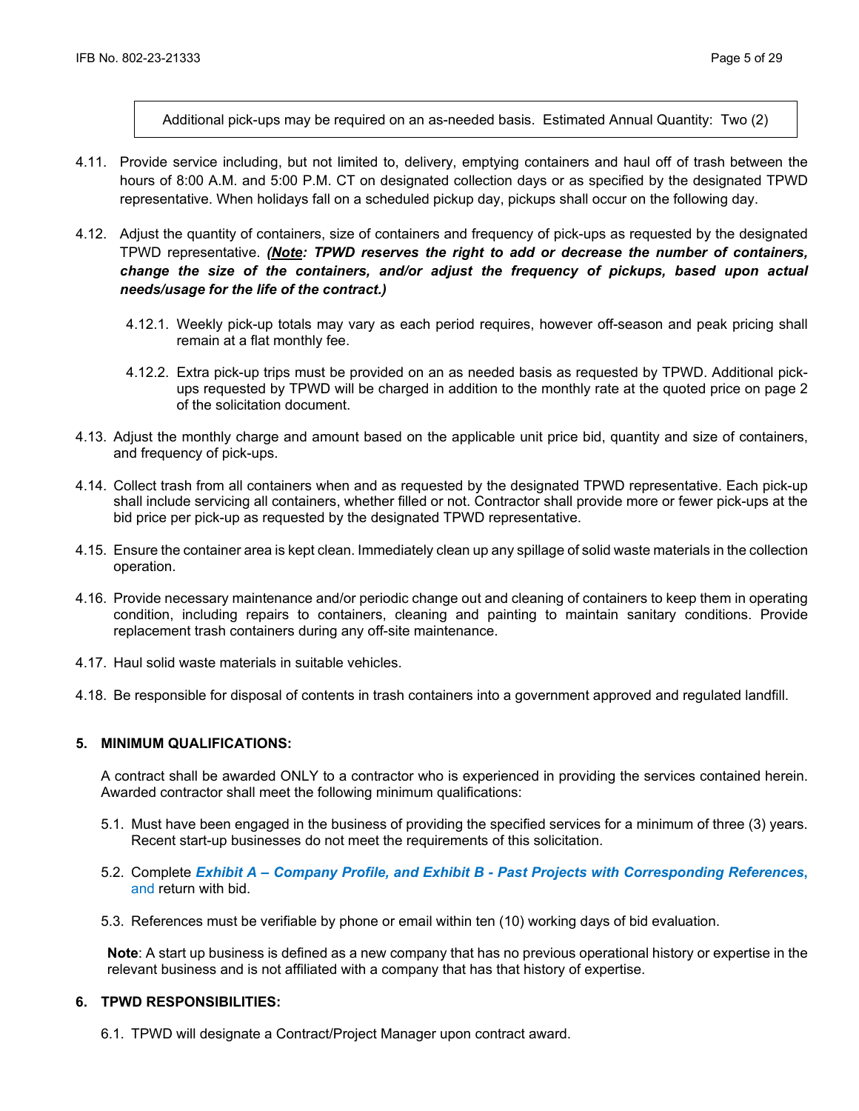Additional pick-ups may be required on an as-needed basis. Estimated Annual Quantity: Two (2)

- 4.11. Provide service including, but not limited to, delivery, emptying containers and haul off of trash between the hours of 8:00 A.M. and 5:00 P.M. CT on designated collection days or as specified by the designated TPWD representative. When holidays fall on a scheduled pickup day, pickups shall occur on the following day.
- 4.12. Adjust the quantity of containers, size of containers and frequency of pick-ups as requested by the designated TPWD representative. *(Note: TPWD reserves the right to add or decrease the number of containers, change the size of the containers, and/or adjust the frequency of pickups, based upon actual needs/usage for the life of the contract.)*
	- 4.12.1. Weekly pick-up totals may vary as each period requires, however off-season and peak pricing shall remain at a flat monthly fee.
	- 4.12.2. Extra pick-up trips must be provided on an as needed basis as requested by TPWD. Additional pickups requested by TPWD will be charged in addition to the monthly rate at the quoted price on page 2 of the solicitation document.
- 4.13. Adjust the monthly charge and amount based on the applicable unit price bid, quantity and size of containers, and frequency of pick-ups.
- 4.14. Collect trash from all containers when and as requested by the designated TPWD representative. Each pick-up shall include servicing all containers, whether filled or not. Contractor shall provide more or fewer pick-ups at the bid price per pick-up as requested by the designated TPWD representative.
- 4.15. Ensure the container area is kept clean. Immediately clean up any spillage of solid waste materials in the collection operation.
- 4.16. Provide necessary maintenance and/or periodic change out and cleaning of containers to keep them in operating condition, including repairs to containers, cleaning and painting to maintain sanitary conditions. Provide replacement trash containers during any off-site maintenance.
- 4.17. Haul solid waste materials in suitable vehicles.
- 4.18. Be responsible for disposal of contents in trash containers into a government approved and regulated landfill.

## **5. MINIMUM QUALIFICATIONS:**

A contract shall be awarded ONLY to a contractor who is experienced in providing the services contained herein. Awarded contractor shall meet the following minimum qualifications:

- 5.1. Must have been engaged in the business of providing the specified services for a minimum of three (3) years. Recent start-up businesses do not meet the requirements of this solicitation.
- 5.2. Complete *Exhibit A – Company Profile, and Exhibit B - Past Projects with Corresponding References***,**  and return with bid.
- 5.3. References must be verifiable by phone or email within ten (10) working days of bid evaluation.

**Note**: A start up business is defined as a new company that has no previous operational history or expertise in the relevant business and is not affiliated with a company that has that history of expertise.

## **6. TPWD RESPONSIBILITIES:**

6.1. TPWD will designate a Contract/Project Manager upon contract award.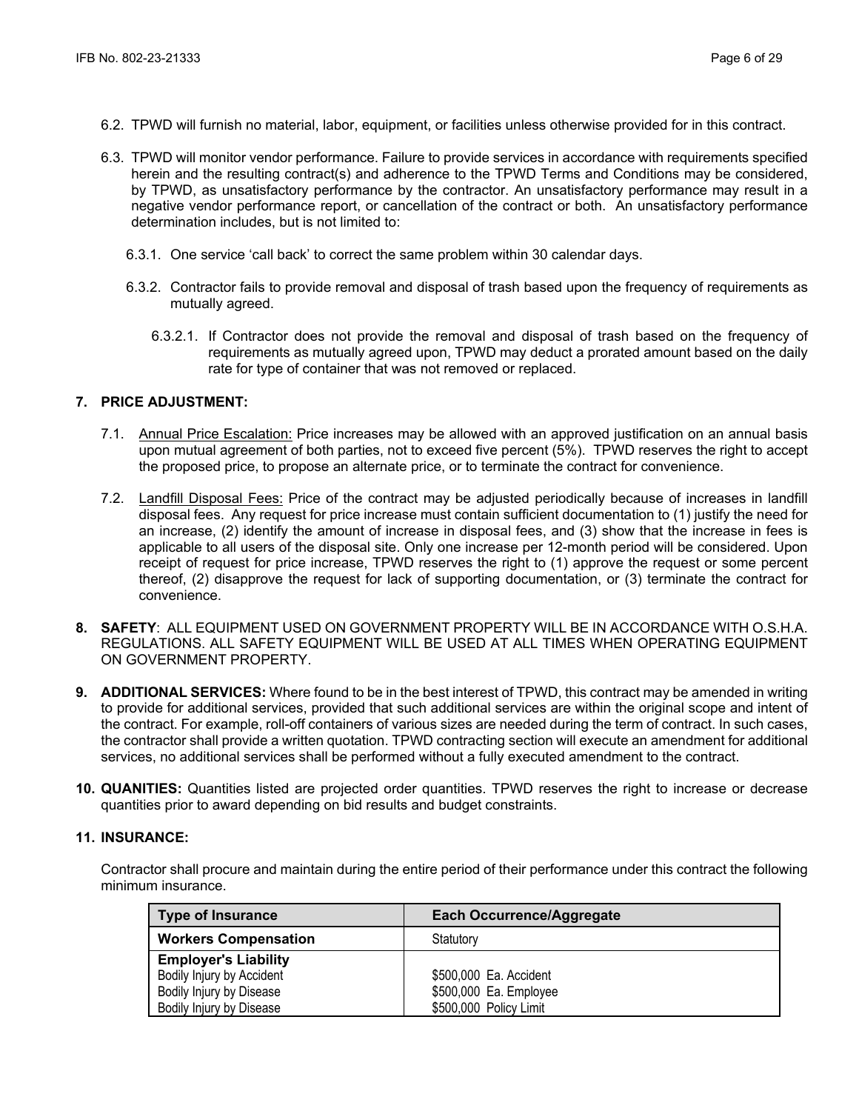- 6.2. TPWD will furnish no material, labor, equipment, or facilities unless otherwise provided for in this contract.
- 6.3. TPWD will monitor vendor performance. Failure to provide services in accordance with requirements specified herein and the resulting contract(s) and adherence to the TPWD Terms and Conditions may be considered, by TPWD, as unsatisfactory performance by the contractor. An unsatisfactory performance may result in a negative vendor performance report, or cancellation of the contract or both. An unsatisfactory performance determination includes, but is not limited to:
	- 6.3.1. One service 'call back' to correct the same problem within 30 calendar days.
	- 6.3.2. Contractor fails to provide removal and disposal of trash based upon the frequency of requirements as mutually agreed.
		- 6.3.2.1. If Contractor does not provide the removal and disposal of trash based on the frequency of requirements as mutually agreed upon, TPWD may deduct a prorated amount based on the daily rate for type of container that was not removed or replaced.

#### **7. PRICE ADJUSTMENT:**

- 7.1. Annual Price Escalation: Price increases may be allowed with an approved justification on an annual basis upon mutual agreement of both parties, not to exceed five percent (5%). TPWD reserves the right to accept the proposed price, to propose an alternate price, or to terminate the contract for convenience.
- 7.2. Landfill Disposal Fees: Price of the contract may be adjusted periodically because of increases in landfill disposal fees. Any request for price increase must contain sufficient documentation to (1) justify the need for an increase, (2) identify the amount of increase in disposal fees, and (3) show that the increase in fees is applicable to all users of the disposal site. Only one increase per 12-month period will be considered. Upon receipt of request for price increase, TPWD reserves the right to (1) approve the request or some percent thereof, (2) disapprove the request for lack of supporting documentation, or (3) terminate the contract for convenience.
- **8. SAFETY**: ALL EQUIPMENT USED ON GOVERNMENT PROPERTY WILL BE IN ACCORDANCE WITH O.S.H.A. REGULATIONS. ALL SAFETY EQUIPMENT WILL BE USED AT ALL TIMES WHEN OPERATING EQUIPMENT ON GOVERNMENT PROPERTY.
- **9. ADDITIONAL SERVICES:** Where found to be in the best interest of TPWD, this contract may be amended in writing to provide for additional services, provided that such additional services are within the original scope and intent of the contract. For example, roll-off containers of various sizes are needed during the term of contract. In such cases, the contractor shall provide a written quotation. TPWD contracting section will execute an amendment for additional services, no additional services shall be performed without a fully executed amendment to the contract.
- **10. QUANITIES:** Quantities listed are projected order quantities. TPWD reserves the right to increase or decrease quantities prior to award depending on bid results and budget constraints.

#### **11. INSURANCE:**

Contractor shall procure and maintain during the entire period of their performance under this contract the following minimum insurance.

| <b>Type of Insurance</b>    | <b>Each Occurrence/Aggregate</b> |
|-----------------------------|----------------------------------|
| <b>Workers Compensation</b> | Statutory                        |
| <b>Employer's Liability</b> |                                  |
| Bodily Injury by Accident   | \$500,000 Ea. Accident           |
| Bodily Injury by Disease    | \$500,000 Ea. Employee           |
| Bodily Injury by Disease    | \$500,000 Policy Limit           |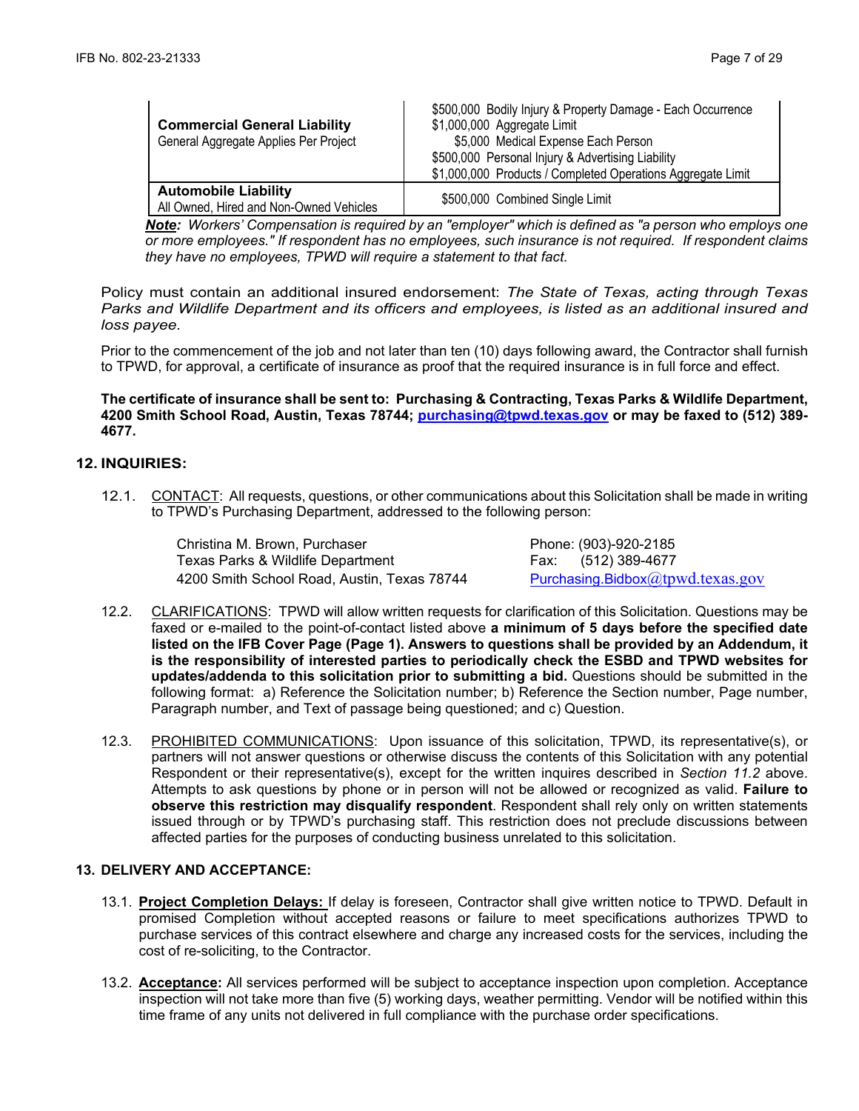| <b>Commercial General Liability</b><br>General Aggregate Applies Per Project | \$500,000 Bodily Injury & Property Damage - Each Occurrence<br>\$1,000,000 Aggregate Limit<br>\$5,000 Medical Expense Each Person<br>\$500,000 Personal Injury & Advertising Liability<br>\$1,000,000 Products / Completed Operations Aggregate Limit |
|------------------------------------------------------------------------------|-------------------------------------------------------------------------------------------------------------------------------------------------------------------------------------------------------------------------------------------------------|
| <b>Automobile Liability</b><br>All Owned, Hired and Non-Owned Vehicles       | \$500,000 Combined Single Limit                                                                                                                                                                                                                       |

*Note: Workers' Compensation is required by an "employer" which is defined as "a person who employs one or more employees." If respondent has no employees, such insurance is not required. If respondent claims they have no employees, TPWD will require a statement to that fact.*

Policy must contain an additional insured endorsement: *The State of Texas, acting through Texas Parks and Wildlife Department and its officers and employees, is listed as an additional insured and loss payee.*

Prior to the commencement of the job and not later than ten (10) days following award, the Contractor shall furnish to TPWD, for approval, a certificate of insurance as proof that the required insurance is in full force and effect.

**The certificate of insurance shall be sent to: Purchasing & Contracting, Texas Parks & Wildlife Department, 4200 Smith School Road, Austin, Texas 78744; [purchasing@tpwd.texas.gov](mailto:purchasing@tpwd.texas.gov) or may be faxed to (512) 389- 4677.**

## **12. INQUIRIES:**

12.1. CONTACT: All requests, questions, or other communications about this Solicitation shall be made in writing to TPWD's Purchasing Department, addressed to the following person:

> Christina M. Brown, Purchaser Phone: (903)-920-2185 Texas Parks & Wildlife Department Fax: (512) 389-4677 4200 Smith School Road, Austin, Texas 78744 [Purchasing.Bidbox](mailto:Purchasing.Bidbox@tpwd.texas.gov)[@tpwd.texas.gov](mailto:Purchasing.Bidbox@tpwd.texas.gov)

- 12.2. CLARIFICATIONS: TPWD will allow written requests for clarification of this Solicitation. Questions may be faxed or e-mailed to the point-of-contact listed above **a minimum of 5 days before the specified date listed on the IFB Cover Page (Page 1). Answers to questions shall be provided by an Addendum, it is the responsibility of interested parties to periodically check the ESBD and TPWD websites for updates/addenda to this solicitation prior to submitting a bid.** Questions should be submitted in the following format: a) Reference the Solicitation number; b) Reference the Section number, Page number, Paragraph number, and Text of passage being questioned; and c) Question.
- 12.3. PROHIBITED COMMUNICATIONS: Upon issuance of this solicitation, TPWD, its representative(s), or partners will not answer questions or otherwise discuss the contents of this Solicitation with any potential Respondent or their representative(s), except for the written inquires described in *Section 11.2* above. Attempts to ask questions by phone or in person will not be allowed or recognized as valid. **Failure to observe this restriction may disqualify respondent**. Respondent shall rely only on written statements issued through or by TPWD's purchasing staff. This restriction does not preclude discussions between affected parties for the purposes of conducting business unrelated to this solicitation.

## **13. DELIVERY AND ACCEPTANCE:**

- 13.1. **Project Completion Delays:** If delay is foreseen, Contractor shall give written notice to TPWD. Default in promised Completion without accepted reasons or failure to meet specifications authorizes TPWD to purchase services of this contract elsewhere and charge any increased costs for the services, including the cost of re-soliciting, to the Contractor.
- 13.2. **Acceptance:** All services performed will be subject to acceptance inspection upon completion. Acceptance inspection will not take more than five (5) working days, weather permitting. Vendor will be notified within this time frame of any units not delivered in full compliance with the purchase order specifications.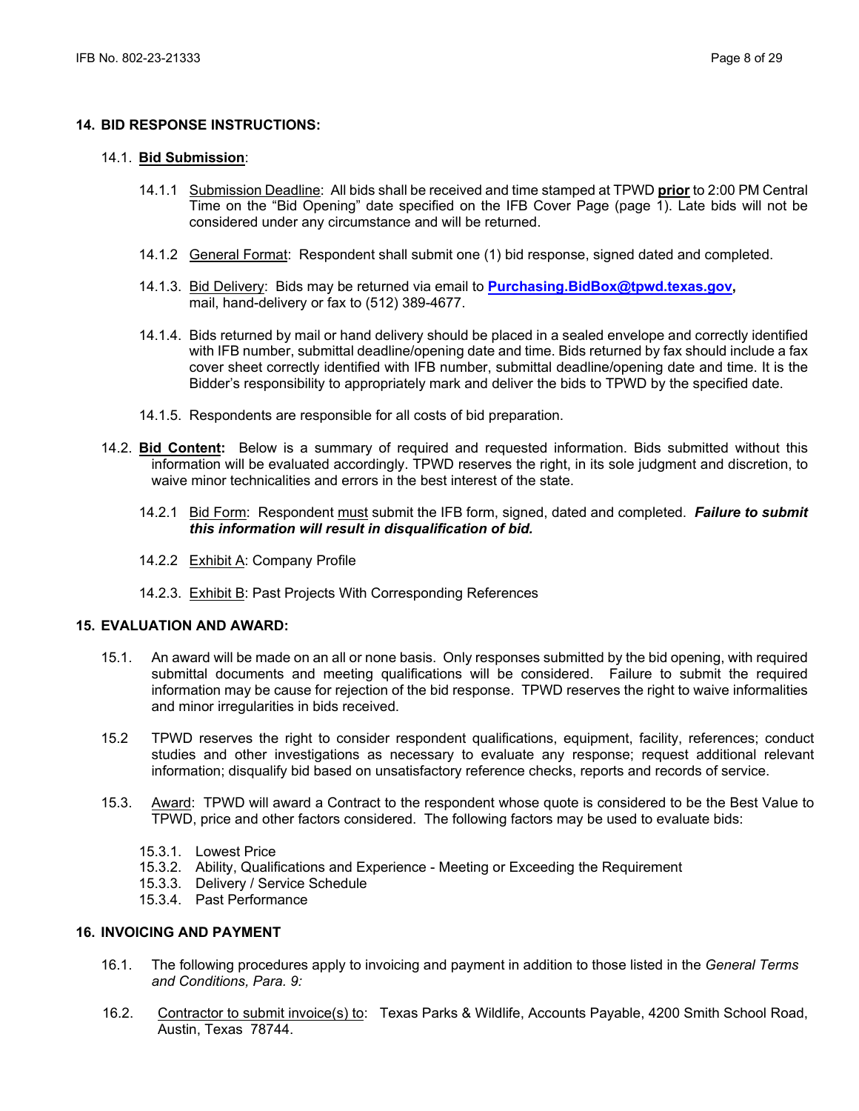#### **14. BID RESPONSE INSTRUCTIONS:**

#### 14.1. **Bid Submission**:

- 14.1.1 Submission Deadline: All bids shall be received and time stamped at TPWD **prior** to 2:00 PM Central Time on the "Bid Opening" date specified on the IFB Cover Page (page 1). Late bids will not be considered under any circumstance and will be returned.
- 14.1.2 General Format: Respondent shall submit one (1) bid response, signed dated and completed.
- 14.1.3. Bid Delivery: Bids may be returned via email to **[Purchasing.BidBox@tpwd.texas.gov,](mailto:Purchasing.BidBox@tpwd.texas.gov)**  mail, hand-delivery or fax to (512) 389-4677.
- 14.1.4. Bids returned by mail or hand delivery should be placed in a sealed envelope and correctly identified with IFB number, submittal deadline/opening date and time. Bids returned by fax should include a fax cover sheet correctly identified with IFB number, submittal deadline/opening date and time. It is the Bidder's responsibility to appropriately mark and deliver the bids to TPWD by the specified date.
- 14.1.5. Respondents are responsible for all costs of bid preparation.
- 14.2. **Bid Content:** Below is a summary of required and requested information. Bids submitted without this information will be evaluated accordingly. TPWD reserves the right, in its sole judgment and discretion, to waive minor technicalities and errors in the best interest of the state.
	- 14.2.1 Bid Form: Respondent must submit the IFB form, signed, dated and completed. *Failure to submit this information will result in disqualification of bid.*
	- 14.2.2 Exhibit A: Company Profile
	- 14.2.3. Exhibit B: Past Projects With Corresponding References

#### **15. EVALUATION AND AWARD:**

- 15.1. An award will be made on an all or none basis. Only responses submitted by the bid opening, with required submittal documents and meeting qualifications will be considered. Failure to submit the required information may be cause for rejection of the bid response. TPWD reserves the right to waive informalities and minor irregularities in bids received.
- 15.2 TPWD reserves the right to consider respondent qualifications, equipment, facility, references; conduct studies and other investigations as necessary to evaluate any response; request additional relevant information; disqualify bid based on unsatisfactory reference checks, reports and records of service.
- 15.3. Award: TPWD will award a Contract to the respondent whose quote is considered to be the Best Value to TPWD, price and other factors considered. The following factors may be used to evaluate bids:
	- 15.3.1. Lowest Price
	- 15.3.2. Ability, Qualifications and Experience Meeting or Exceeding the Requirement
	- 15.3.3. Delivery / Service Schedule
	- 15.3.4. Past Performance

#### **16. INVOICING AND PAYMENT**

- 16.1. The following procedures apply to invoicing and payment in addition to those listed in the *General Terms and Conditions, Para. 9:*
- 16.2. Contractor to submit invoice(s) to: Texas Parks & Wildlife, Accounts Payable, 4200 Smith School Road, Austin, Texas 78744.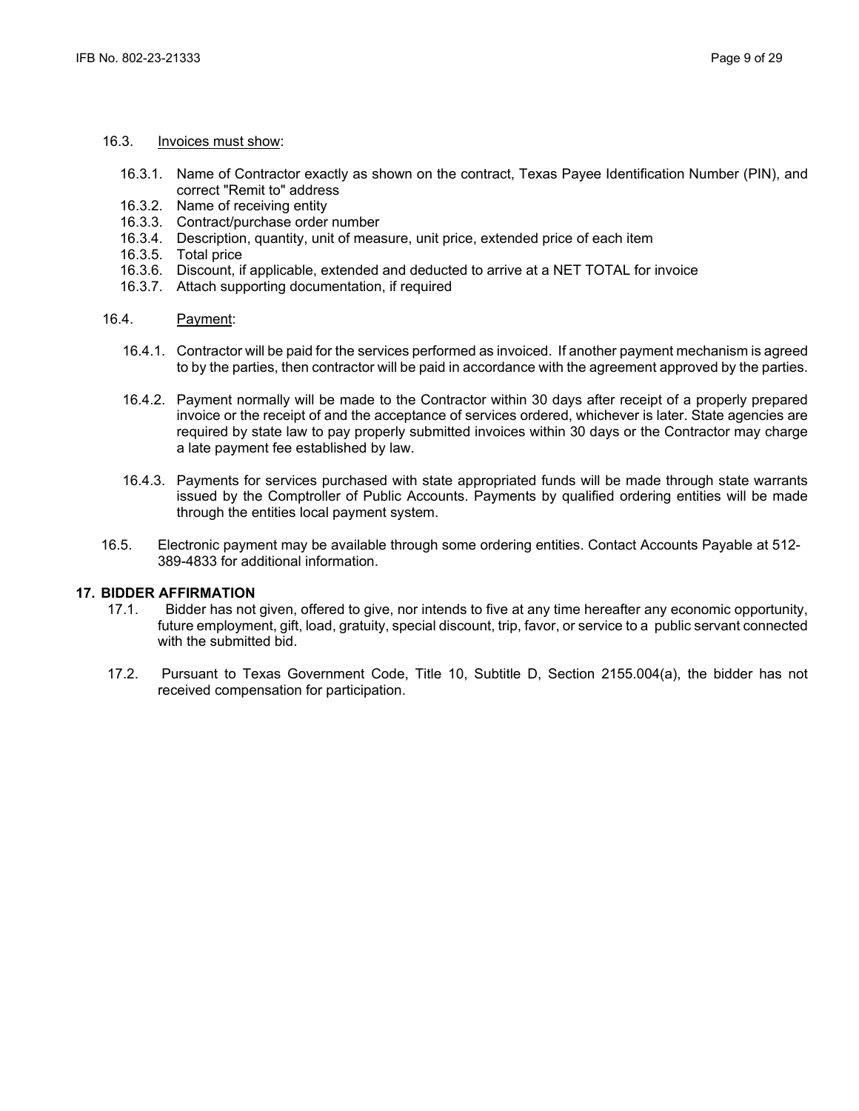#### 16.3. Invoices must show:

- 16.3.1. Name of Contractor exactly as shown on the contract, Texas Payee Identification Number (PIN), and correct "Remit to" address
- 16.3.2. Name of receiving entity
- 16.3.3. Contract/purchase order number
- 16.3.4. Description, quantity, unit of measure, unit price, extended price of each item
- 16.3.5. Total price
- 16.3.6. Discount, if applicable, extended and deducted to arrive at a NET TOTAL for invoice
- 16.3.7. Attach supporting documentation, if required

#### 16.4. Payment:

- 16.4.1. Contractor will be paid for the services performed as invoiced. If another payment mechanism is agreed to by the parties, then contractor will be paid in accordance with the agreement approved by the parties.
- 16.4.2. Payment normally will be made to the Contractor within 30 days after receipt of a properly prepared invoice or the receipt of and the acceptance of services ordered, whichever is later. State agencies are required by state law to pay properly submitted invoices within 30 days or the Contractor may charge a late payment fee established by law.
- 16.4.3. Payments for services purchased with state appropriated funds will be made through state warrants issued by the Comptroller of Public Accounts. Payments by qualified ordering entities will be made through the entities local payment system.
- 16.5. Electronic payment may be available through some ordering entities. Contact Accounts Payable at 512- 389-4833 for additional information.

# **17. BIDDER AFFIRMATION**

- 17.1.Bidder has not given, offered to give, nor intends to five at any time hereafter any economic opportunity, future employment, gift, load, gratuity, special discount, trip, favor, or service to a public servant connected with the submitted bid.
- 17.2. Pursuant to Texas Government Code, Title 10, Subtitle D, Section 2155.004(a), the bidder has not received compensation for participation.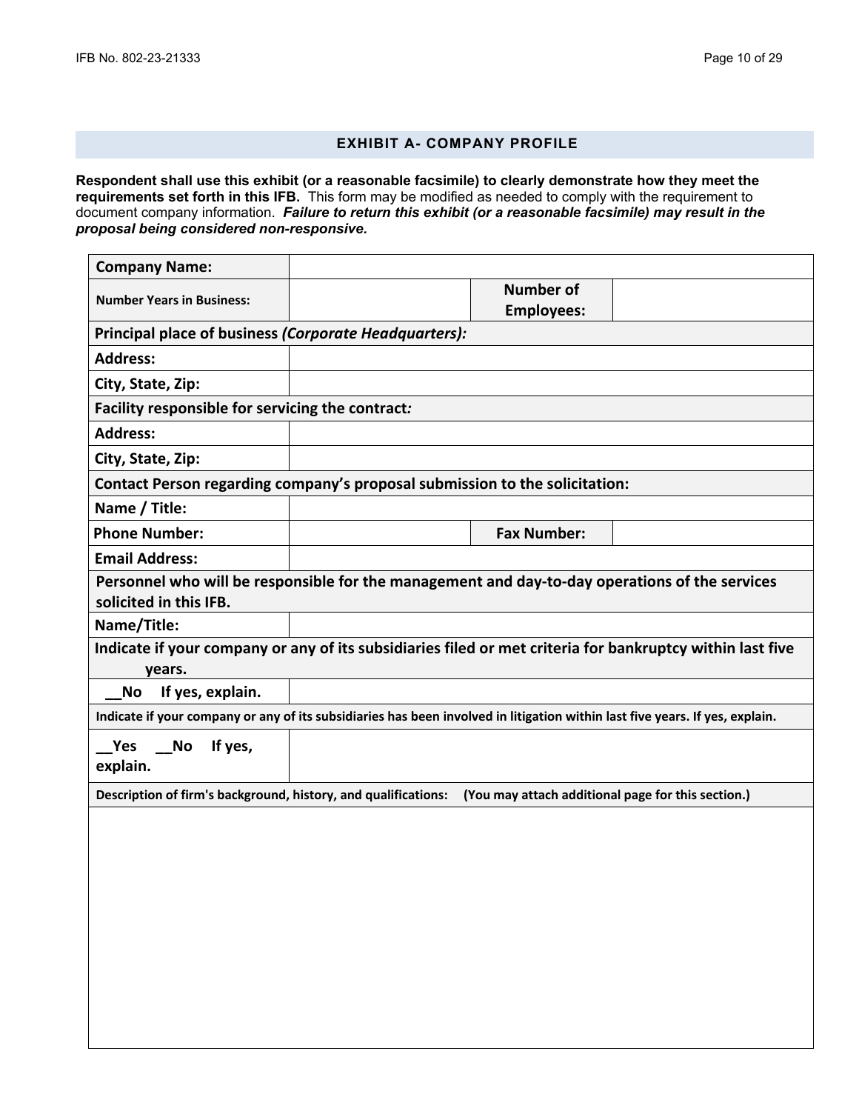## **EXHIBIT A- COMPANY PROFILE**

**Respondent shall use this exhibit (or a reasonable facsimile) to clearly demonstrate how they meet the requirements set forth in this IFB.** This form may be modified as needed to comply with the requirement to document company information. *Failure to return this exhibit (or a reasonable facsimile) may result in the proposal being considered non-responsive.*

| <b>Company Name:</b>                                                                                                 |  |                                                                                                                              |  |  |
|----------------------------------------------------------------------------------------------------------------------|--|------------------------------------------------------------------------------------------------------------------------------|--|--|
| <b>Number Years in Business:</b>                                                                                     |  | <b>Number of</b><br><b>Employees:</b>                                                                                        |  |  |
| Principal place of business (Corporate Headquarters):                                                                |  |                                                                                                                              |  |  |
| <b>Address:</b>                                                                                                      |  |                                                                                                                              |  |  |
| City, State, Zip:                                                                                                    |  |                                                                                                                              |  |  |
| Facility responsible for servicing the contract:                                                                     |  |                                                                                                                              |  |  |
| <b>Address:</b>                                                                                                      |  |                                                                                                                              |  |  |
| City, State, Zip:                                                                                                    |  |                                                                                                                              |  |  |
| Contact Person regarding company's proposal submission to the solicitation:                                          |  |                                                                                                                              |  |  |
| Name / Title:                                                                                                        |  |                                                                                                                              |  |  |
| <b>Phone Number:</b>                                                                                                 |  | <b>Fax Number:</b>                                                                                                           |  |  |
| <b>Email Address:</b>                                                                                                |  |                                                                                                                              |  |  |
| solicited in this IFB.                                                                                               |  | Personnel who will be responsible for the management and day-to-day operations of the services                               |  |  |
| Name/Title:                                                                                                          |  |                                                                                                                              |  |  |
| years.                                                                                                               |  | Indicate if your company or any of its subsidiaries filed or met criteria for bankruptcy within last five                    |  |  |
| If yes, explain.<br>No                                                                                               |  |                                                                                                                              |  |  |
|                                                                                                                      |  | Indicate if your company or any of its subsidiaries has been involved in litigation within last five years. If yes, explain. |  |  |
| If yes,<br>Yes<br><b>No</b><br>explain.                                                                              |  |                                                                                                                              |  |  |
| Description of firm's background, history, and qualifications:<br>(You may attach additional page for this section.) |  |                                                                                                                              |  |  |
|                                                                                                                      |  |                                                                                                                              |  |  |
|                                                                                                                      |  |                                                                                                                              |  |  |
|                                                                                                                      |  |                                                                                                                              |  |  |
|                                                                                                                      |  |                                                                                                                              |  |  |
|                                                                                                                      |  |                                                                                                                              |  |  |
|                                                                                                                      |  |                                                                                                                              |  |  |
|                                                                                                                      |  |                                                                                                                              |  |  |
|                                                                                                                      |  |                                                                                                                              |  |  |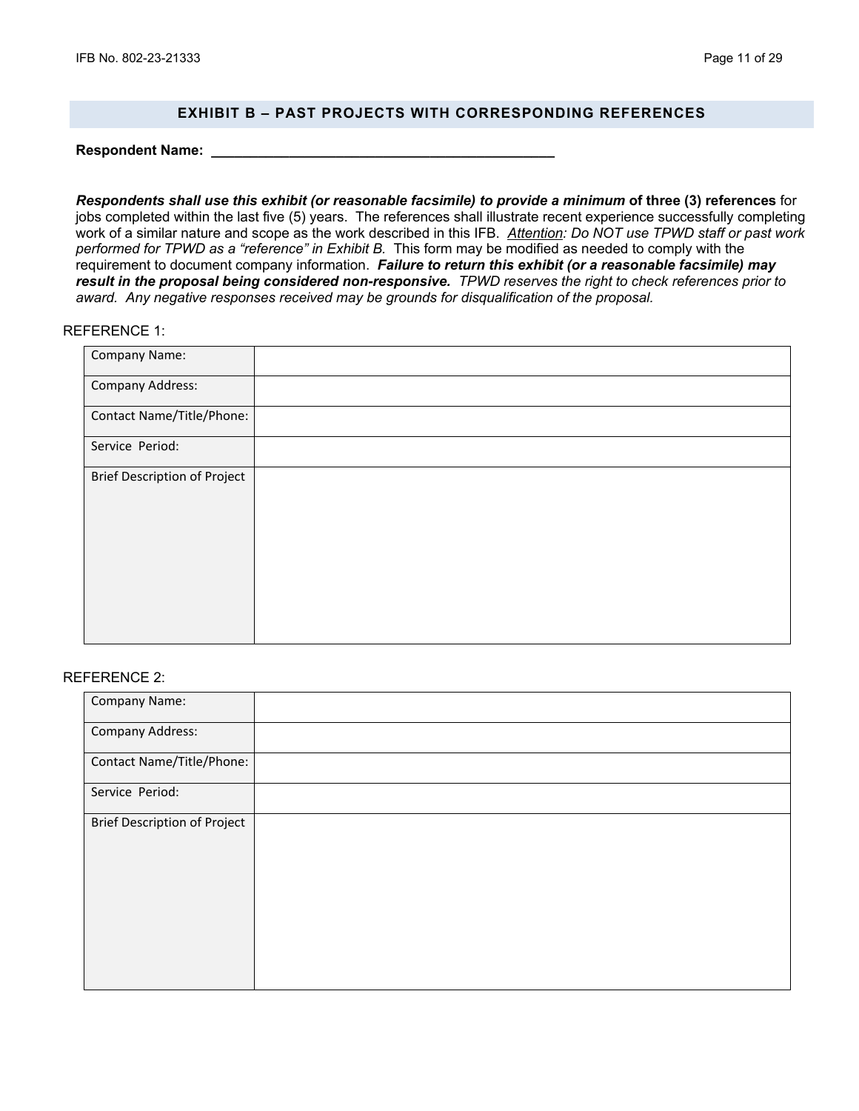#### **EXHIBIT B – PAST PROJECTS WITH CORRESPONDING REFERENCES**

**Respondent Name: \_\_\_\_\_\_\_\_\_\_\_\_\_\_\_\_\_\_\_\_\_\_\_\_\_\_\_\_\_\_\_\_\_\_\_\_\_\_\_\_\_\_\_\_**

*Respondents shall use this exhibit (or reasonable facsimile) to provide a minimum* **of three (3) references** for jobs completed within the last five (5) years. The references shall illustrate recent experience successfully completing work of a similar nature and scope as the work described in this IFB. *Attention: Do NOT use TPWD staff or past work performed for TPWD as a "reference" in Exhibit B.* This form may be modified as needed to comply with the requirement to document company information. *Failure to return this exhibit (or a reasonable facsimile) may result in the proposal being considered non-responsive. TPWD reserves the right to check references prior to award. Any negative responses received may be grounds for disqualification of the proposal.*

#### REFERENCE 1:

| Company Name:                       |  |
|-------------------------------------|--|
| <b>Company Address:</b>             |  |
| Contact Name/Title/Phone:           |  |
| Service Period:                     |  |
| <b>Brief Description of Project</b> |  |
|                                     |  |
|                                     |  |
|                                     |  |
|                                     |  |

#### REFERENCE 2:

| Company Name:                       |  |
|-------------------------------------|--|
| <b>Company Address:</b>             |  |
| Contact Name/Title/Phone:           |  |
| Service Period:                     |  |
| <b>Brief Description of Project</b> |  |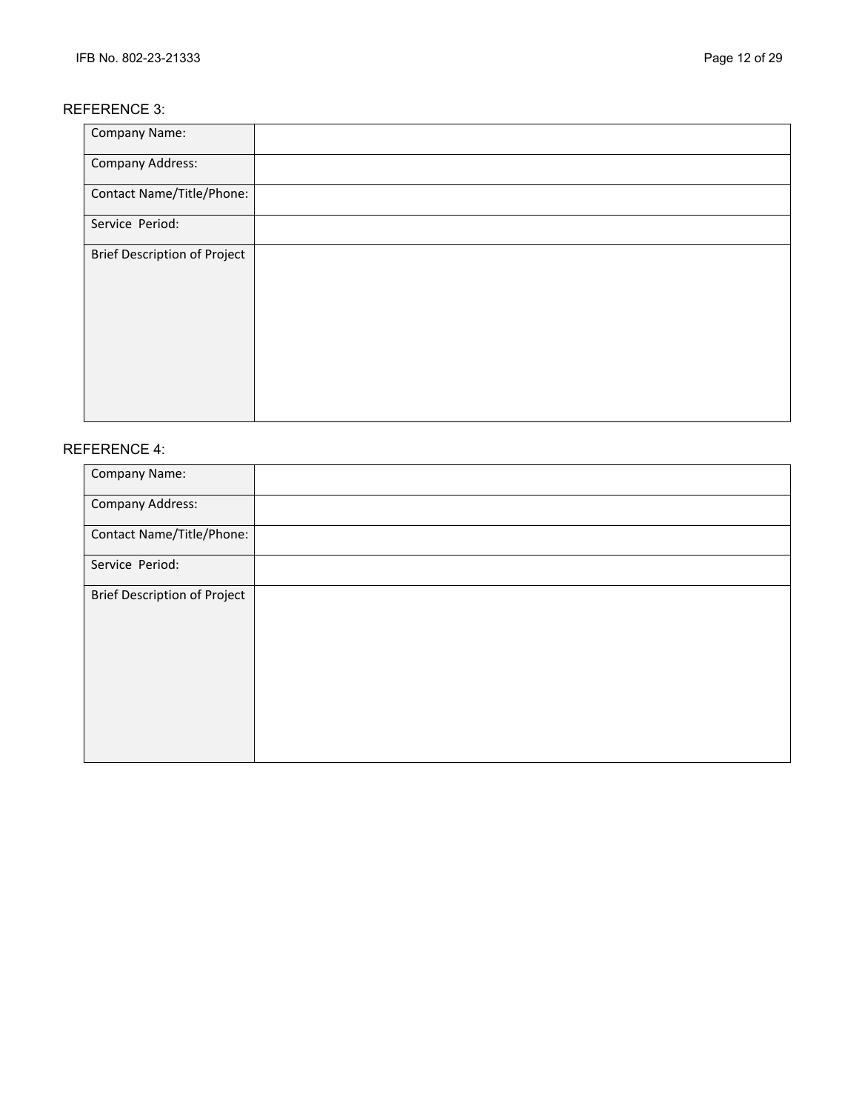## REFERENCE 3:

| Company Name:                       |  |
|-------------------------------------|--|
| <b>Company Address:</b>             |  |
| Contact Name/Title/Phone:           |  |
| Service Period:                     |  |
| <b>Brief Description of Project</b> |  |

## REFERENCE 4:

| Company Name:                       |  |
|-------------------------------------|--|
| <b>Company Address:</b>             |  |
| Contact Name/Title/Phone:           |  |
| Service Period:                     |  |
| <b>Brief Description of Project</b> |  |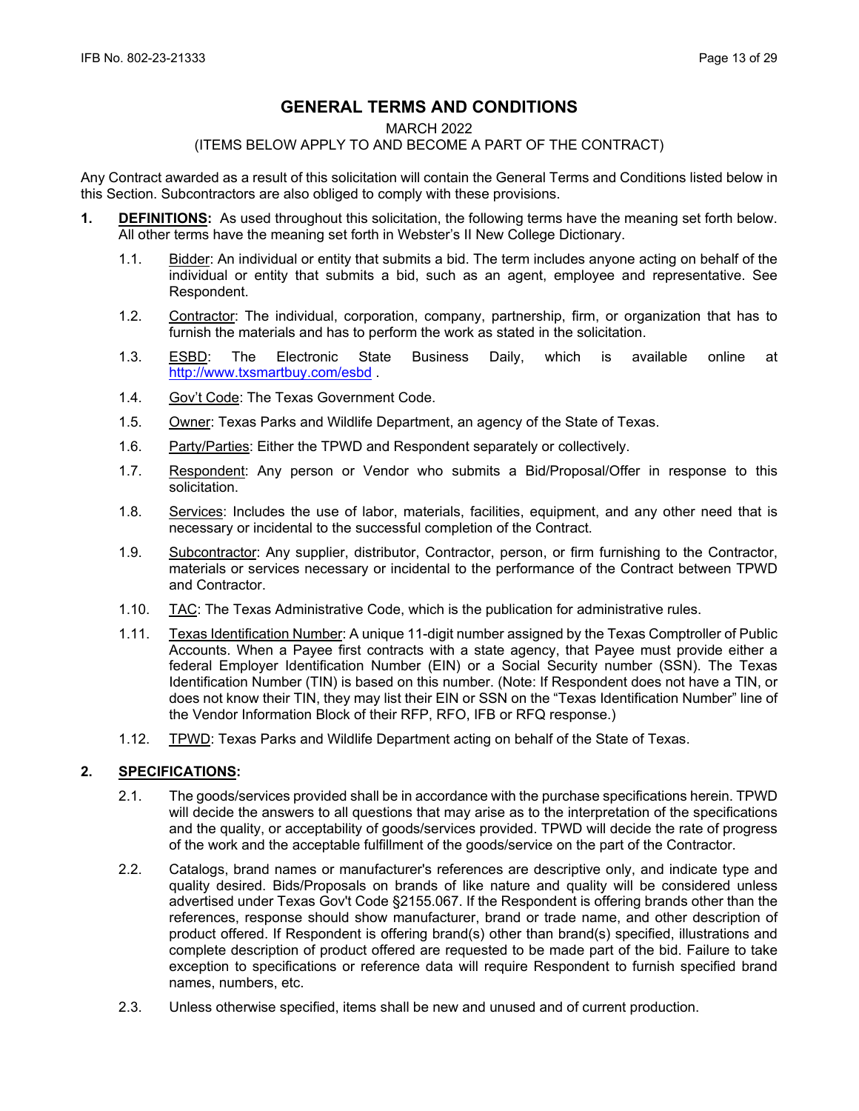# **GENERAL TERMS AND CONDITIONS**

#### MARCH 2022

## (ITEMS BELOW APPLY TO AND BECOME A PART OF THE CONTRACT)

Any Contract awarded as a result of this solicitation will contain the General Terms and Conditions listed below in this Section. Subcontractors are also obliged to comply with these provisions.

- **1. DEFINITIONS:** As used throughout this solicitation, the following terms have the meaning set forth below. All other terms have the meaning set forth in Webster's II New College Dictionary.
	- 1.1. Bidder: An individual or entity that submits a bid. The term includes anyone acting on behalf of the individual or entity that submits a bid, such as an agent, employee and representative. See Respondent.
	- 1.2. Contractor: The individual, corporation, company, partnership, firm, or organization that has to furnish the materials and has to perform the work as stated in the solicitation.
	- 1.3. <u>ESBD</u>: The Electronic State Business Daily, which is available online at <http://www.txsmartbuy.com/esbd> .
	- 1.4. Gov't Code: The Texas Government Code.
	- 1.5. Owner: Texas Parks and Wildlife Department, an agency of the State of Texas.
	- 1.6. Party/Parties: Either the TPWD and Respondent separately or collectively.
	- 1.7. Respondent: Any person or Vendor who submits a Bid/Proposal/Offer in response to this solicitation.
	- 1.8. Services: Includes the use of labor, materials, facilities, equipment, and any other need that is necessary or incidental to the successful completion of the Contract.
	- 1.9. Subcontractor: Any supplier, distributor, Contractor, person, or firm furnishing to the Contractor, materials or services necessary or incidental to the performance of the Contract between TPWD and Contractor.
	- 1.10. TAC: The Texas Administrative Code, which is the publication for administrative rules.
	- 1.11. Texas Identification Number: A unique 11-digit number assigned by the Texas Comptroller of Public Accounts. When a Payee first contracts with a state agency, that Payee must provide either a federal Employer Identification Number (EIN) or a Social Security number (SSN). The Texas Identification Number (TIN) is based on this number. (Note: If Respondent does not have a TIN, or does not know their TIN, they may list their EIN or SSN on the "Texas Identification Number" line of the Vendor Information Block of their RFP, RFO, IFB or RFQ response.)
	- 1.12. TPWD: Texas Parks and Wildlife Department acting on behalf of the State of Texas.

## **2. SPECIFICATIONS:**

- 2.1. The goods/services provided shall be in accordance with the purchase specifications herein. TPWD will decide the answers to all questions that may arise as to the interpretation of the specifications and the quality, or acceptability of goods/services provided. TPWD will decide the rate of progress of the work and the acceptable fulfillment of the goods/service on the part of the Contractor.
- 2.2. Catalogs, brand names or manufacturer's references are descriptive only, and indicate type and quality desired. Bids/Proposals on brands of like nature and quality will be considered unless advertised under Texas Gov't Code §2155.067. If the Respondent is offering brands other than the references, response should show manufacturer, brand or trade name, and other description of product offered. If Respondent is offering brand(s) other than brand(s) specified, illustrations and complete description of product offered are requested to be made part of the bid. Failure to take exception to specifications or reference data will require Respondent to furnish specified brand names, numbers, etc.
- 2.3. Unless otherwise specified, items shall be new and unused and of current production.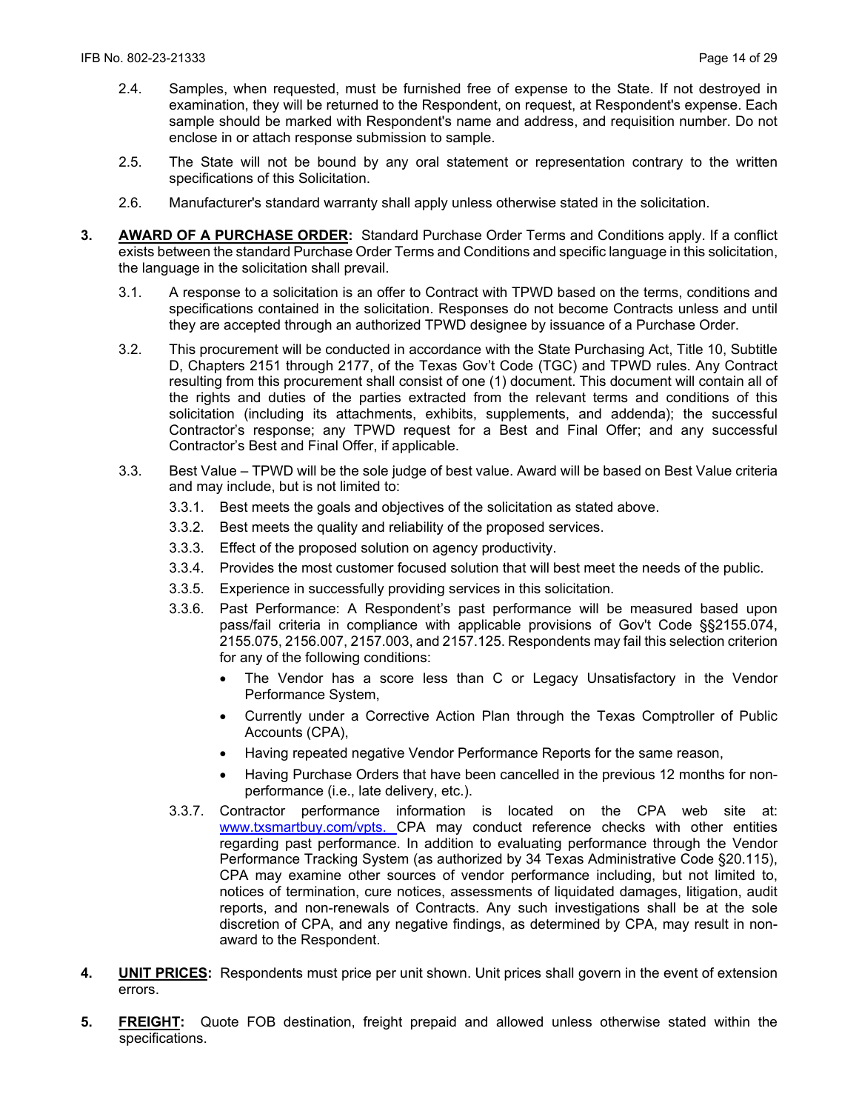- 2.4. Samples, when requested, must be furnished free of expense to the State. If not destroyed in examination, they will be returned to the Respondent, on request, at Respondent's expense. Each sample should be marked with Respondent's name and address, and requisition number. Do not enclose in or attach response submission to sample.
- 2.5. The State will not be bound by any oral statement or representation contrary to the written specifications of this Solicitation.
- 2.6. Manufacturer's standard warranty shall apply unless otherwise stated in the solicitation.
- **3. AWARD OF A PURCHASE ORDER:** Standard Purchase Order Terms and Conditions apply. If a conflict exists between the standard Purchase Order Terms and Conditions and specific language in this solicitation, the language in the solicitation shall prevail.
	- 3.1. A response to a solicitation is an offer to Contract with TPWD based on the terms, conditions and specifications contained in the solicitation. Responses do not become Contracts unless and until they are accepted through an authorized TPWD designee by issuance of a Purchase Order.
	- 3.2. This procurement will be conducted in accordance with the State Purchasing Act, Title 10, Subtitle D, Chapters 2151 through 2177, of the Texas Gov't Code (TGC) and TPWD rules. Any Contract resulting from this procurement shall consist of one (1) document. This document will contain all of the rights and duties of the parties extracted from the relevant terms and conditions of this solicitation (including its attachments, exhibits, supplements, and addenda); the successful Contractor's response; any TPWD request for a Best and Final Offer; and any successful Contractor's Best and Final Offer, if applicable.
	- 3.3. Best Value TPWD will be the sole judge of best value. Award will be based on Best Value criteria and may include, but is not limited to:
		- 3.3.1. Best meets the goals and objectives of the solicitation as stated above.
		- 3.3.2. Best meets the quality and reliability of the proposed services.
		- 3.3.3. Effect of the proposed solution on agency productivity.
		- 3.3.4. Provides the most customer focused solution that will best meet the needs of the public.
		- 3.3.5. Experience in successfully providing services in this solicitation.
		- 3.3.6. Past Performance: A Respondent's past performance will be measured based upon pass/fail criteria in compliance with applicable provisions of Gov't Code §§2155.074, 2155.075, 2156.007, 2157.003, and 2157.125. Respondents may fail this selection criterion for any of the following conditions:
			- The Vendor has a score less than C or Legacy Unsatisfactory in the Vendor Performance System,
			- Currently under a Corrective Action Plan through the Texas Comptroller of Public Accounts (CPA),
			- Having repeated negative Vendor Performance Reports for the same reason,
			- Having Purchase Orders that have been cancelled in the previous 12 months for nonperformance (i.e., late delivery, etc.).
		- 3.3.7. Contractor performance information is located on the CPA web site at: [www.txsmartbuy.com/vpts.](http://www.txsmartbuy.com/vpts) CPA may conduct reference checks with other entities regarding past performance. In addition to evaluating performance through the Vendor Performance Tracking System (as authorized by 34 Texas Administrative Code §20.115), CPA may examine other sources of vendor performance including, but not limited to, notices of termination, cure notices, assessments of liquidated damages, litigation, audit reports, and non-renewals of Contracts. Any such investigations shall be at the sole discretion of CPA, and any negative findings, as determined by CPA, may result in nonaward to the Respondent.
- **4. UNIT PRICES:** Respondents must price per unit shown. Unit prices shall govern in the event of extension errors.
- **5. FREIGHT:** Quote FOB destination, freight prepaid and allowed unless otherwise stated within the specifications.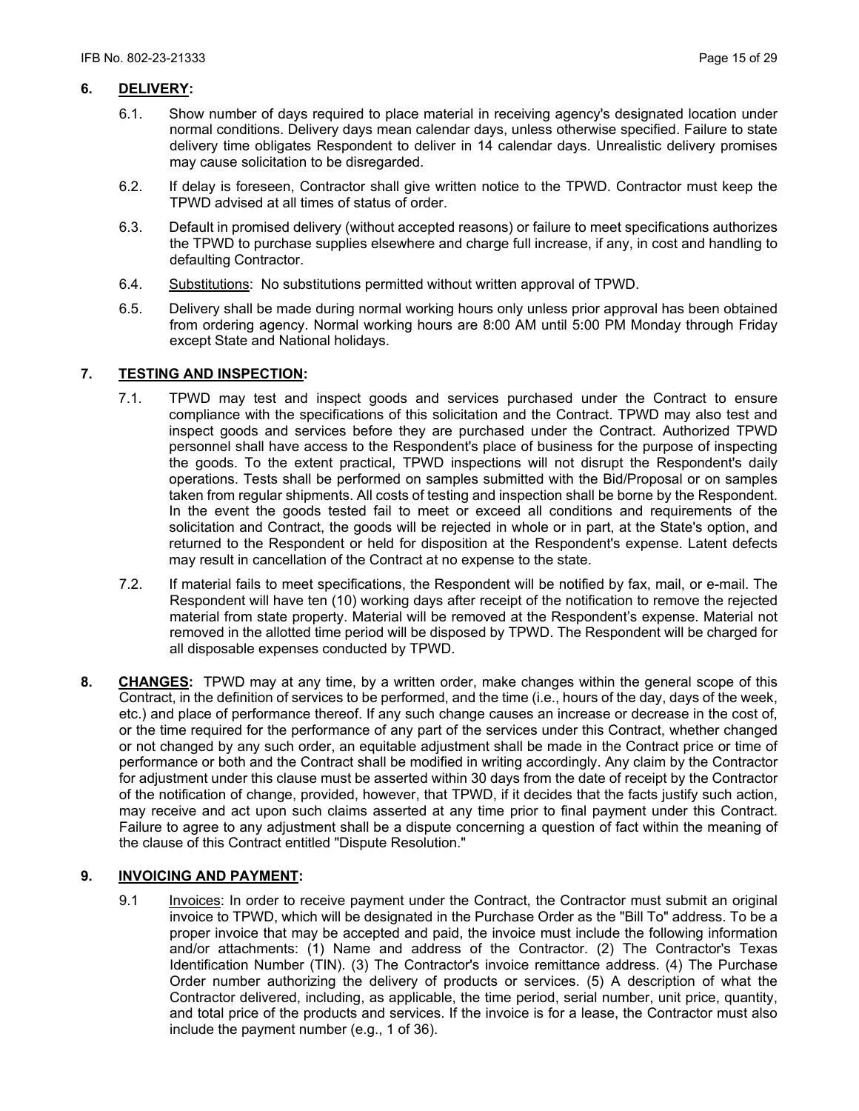## **6. DELIVERY:**

- 6.1. Show number of days required to place material in receiving agency's designated location under normal conditions. Delivery days mean calendar days, unless otherwise specified. Failure to state delivery time obligates Respondent to deliver in 14 calendar days. Unrealistic delivery promises may cause solicitation to be disregarded.
- 6.2. If delay is foreseen, Contractor shall give written notice to the TPWD. Contractor must keep the TPWD advised at all times of status of order.
- 6.3. Default in promised delivery (without accepted reasons) or failure to meet specifications authorizes the TPWD to purchase supplies elsewhere and charge full increase, if any, in cost and handling to defaulting Contractor.
- 6.4. Substitutions: No substitutions permitted without written approval of TPWD.
- 6.5. Delivery shall be made during normal working hours only unless prior approval has been obtained from ordering agency. Normal working hours are 8:00 AM until 5:00 PM Monday through Friday except State and National holidays.

## **7. TESTING AND INSPECTION:**

- 7.1. TPWD may test and inspect goods and services purchased under the Contract to ensure compliance with the specifications of this solicitation and the Contract. TPWD may also test and inspect goods and services before they are purchased under the Contract. Authorized TPWD personnel shall have access to the Respondent's place of business for the purpose of inspecting the goods. To the extent practical, TPWD inspections will not disrupt the Respondent's daily operations. Tests shall be performed on samples submitted with the Bid/Proposal or on samples taken from regular shipments. All costs of testing and inspection shall be borne by the Respondent. In the event the goods tested fail to meet or exceed all conditions and requirements of the solicitation and Contract, the goods will be rejected in whole or in part, at the State's option, and returned to the Respondent or held for disposition at the Respondent's expense. Latent defects may result in cancellation of the Contract at no expense to the state.
- 7.2. If material fails to meet specifications, the Respondent will be notified by fax, mail, or e-mail. The Respondent will have ten (10) working days after receipt of the notification to remove the rejected material from state property. Material will be removed at the Respondent's expense. Material not removed in the allotted time period will be disposed by TPWD. The Respondent will be charged for all disposable expenses conducted by TPWD.
- **8. CHANGES:** TPWD may at any time, by a written order, make changes within the general scope of this Contract, in the definition of services to be performed, and the time (i.e., hours of the day, days of the week, etc.) and place of performance thereof. If any such change causes an increase or decrease in the cost of, or the time required for the performance of any part of the services under this Contract, whether changed or not changed by any such order, an equitable adjustment shall be made in the Contract price or time of performance or both and the Contract shall be modified in writing accordingly. Any claim by the Contractor for adjustment under this clause must be asserted within 30 days from the date of receipt by the Contractor of the notification of change, provided, however, that TPWD, if it decides that the facts justify such action, may receive and act upon such claims asserted at any time prior to final payment under this Contract. Failure to agree to any adjustment shall be a dispute concerning a question of fact within the meaning of the clause of this Contract entitled "Dispute Resolution."

## **9. INVOICING AND PAYMENT:**

9.1 Invoices: In order to receive payment under the Contract, the Contractor must submit an original invoice to TPWD, which will be designated in the Purchase Order as the "Bill To" address. To be a proper invoice that may be accepted and paid, the invoice must include the following information and/or attachments: (1) Name and address of the Contractor. (2) The Contractor's Texas Identification Number (TIN). (3) The Contractor's invoice remittance address. (4) The Purchase Order number authorizing the delivery of products or services. (5) A description of what the Contractor delivered, including, as applicable, the time period, serial number, unit price, quantity, and total price of the products and services. If the invoice is for a lease, the Contractor must also include the payment number (e.g., 1 of 36).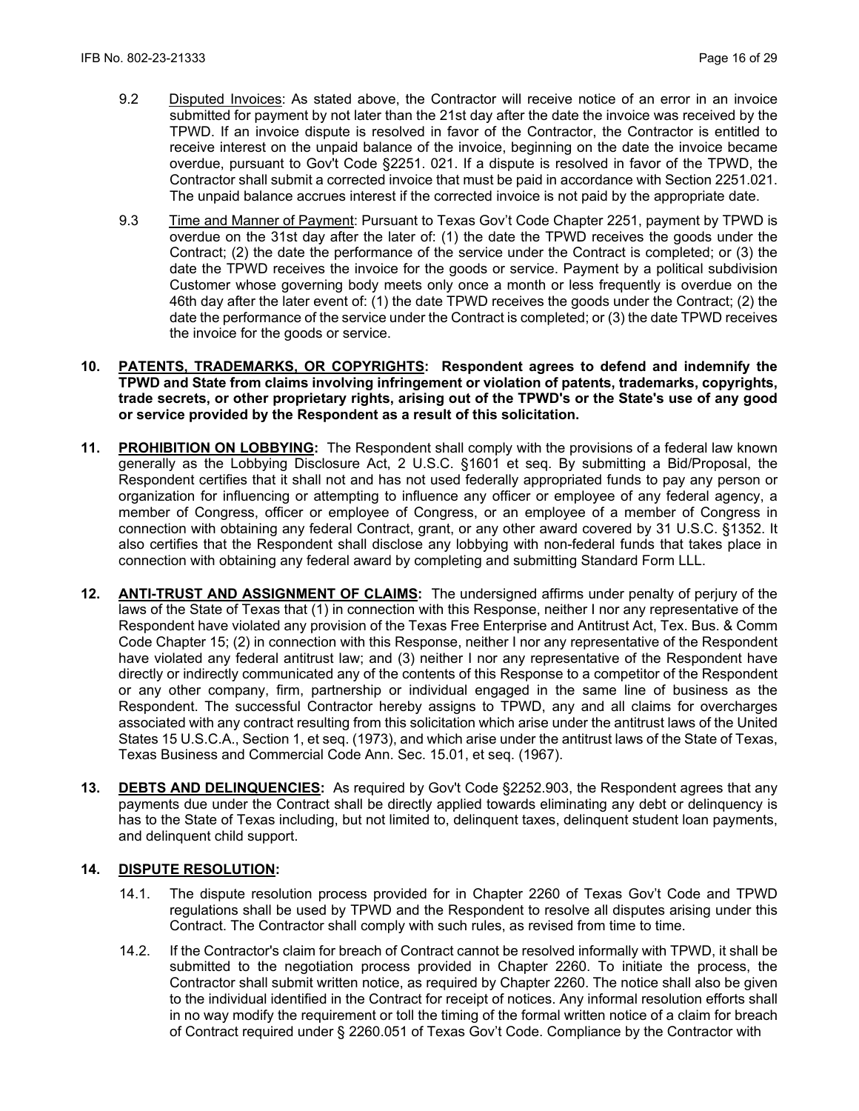- 9.2 Disputed Invoices: As stated above, the Contractor will receive notice of an error in an invoice submitted for payment by not later than the 21st day after the date the invoice was received by the TPWD. If an invoice dispute is resolved in favor of the Contractor, the Contractor is entitled to receive interest on the unpaid balance of the invoice, beginning on the date the invoice became overdue, pursuant to Gov't Code §2251. 021. If a dispute is resolved in favor of the TPWD, the Contractor shall submit a corrected invoice that must be paid in accordance with Section 2251.021. The unpaid balance accrues interest if the corrected invoice is not paid by the appropriate date.
- 9.3 Time and Manner of Payment: Pursuant to Texas Gov't Code Chapter 2251, payment by TPWD is overdue on the 31st day after the later of: (1) the date the TPWD receives the goods under the Contract; (2) the date the performance of the service under the Contract is completed; or (3) the date the TPWD receives the invoice for the goods or service. Payment by a political subdivision Customer whose governing body meets only once a month or less frequently is overdue on the 46th day after the later event of: (1) the date TPWD receives the goods under the Contract; (2) the date the performance of the service under the Contract is completed; or (3) the date TPWD receives the invoice for the goods or service.
- **10. PATENTS, TRADEMARKS, OR COPYRIGHTS: Respondent agrees to defend and indemnify the TPWD and State from claims involving infringement or violation of patents, trademarks, copyrights, trade secrets, or other proprietary rights, arising out of the TPWD's or the State's use of any good or service provided by the Respondent as a result of this solicitation.**
- **11. PROHIBITION ON LOBBYING:** The Respondent shall comply with the provisions of a federal law known generally as the Lobbying Disclosure Act, 2 U.S.C. §1601 et seq. By submitting a Bid/Proposal, the Respondent certifies that it shall not and has not used federally appropriated funds to pay any person or organization for influencing or attempting to influence any officer or employee of any federal agency, a member of Congress, officer or employee of Congress, or an employee of a member of Congress in connection with obtaining any federal Contract, grant, or any other award covered by 31 U.S.C. §1352. It also certifies that the Respondent shall disclose any lobbying with non-federal funds that takes place in connection with obtaining any federal award by completing and submitting Standard Form LLL.
- **12. ANTI-TRUST AND ASSIGNMENT OF CLAIMS:** The undersigned affirms under penalty of perjury of the laws of the State of Texas that (1) in connection with this Response, neither I nor any representative of the Respondent have violated any provision of the Texas Free Enterprise and Antitrust Act, Tex. Bus. & Comm Code Chapter 15; (2) in connection with this Response, neither I nor any representative of the Respondent have violated any federal antitrust law; and (3) neither I nor any representative of the Respondent have directly or indirectly communicated any of the contents of this Response to a competitor of the Respondent or any other company, firm, partnership or individual engaged in the same line of business as the Respondent. The successful Contractor hereby assigns to TPWD, any and all claims for overcharges associated with any contract resulting from this solicitation which arise under the antitrust laws of the United States 15 U.S.C.A., Section 1, et seq. (1973), and which arise under the antitrust laws of the State of Texas, Texas Business and Commercial Code Ann. Sec. 15.01, et seq. (1967).
- **13. DEBTS AND DELINQUENCIES:** As required by Gov't Code §2252.903, the Respondent agrees that any payments due under the Contract shall be directly applied towards eliminating any debt or delinquency is has to the State of Texas including, but not limited to, delinquent taxes, delinquent student loan payments, and delinquent child support.

## **14. DISPUTE RESOLUTION:**

- 14.1. The dispute resolution process provided for in Chapter 2260 of Texas Gov't Code and TPWD regulations shall be used by TPWD and the Respondent to resolve all disputes arising under this Contract. The Contractor shall comply with such rules, as revised from time to time.
- 14.2. If the Contractor's claim for breach of Contract cannot be resolved informally with TPWD, it shall be submitted to the negotiation process provided in Chapter 2260. To initiate the process, the Contractor shall submit written notice, as required by Chapter 2260. The notice shall also be given to the individual identified in the Contract for receipt of notices. Any informal resolution efforts shall in no way modify the requirement or toll the timing of the formal written notice of a claim for breach of Contract required under § 2260.051 of Texas Gov't Code. Compliance by the Contractor with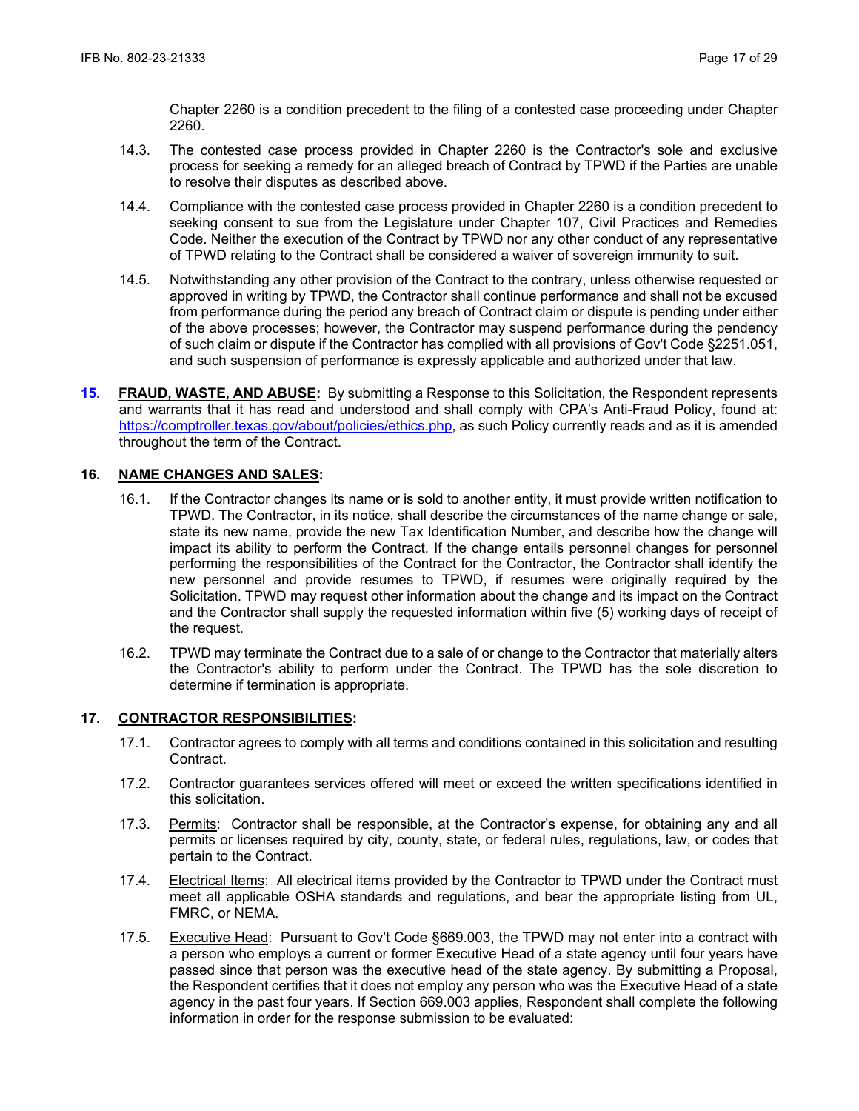Chapter 2260 is a condition precedent to the filing of a contested case proceeding under Chapter 2260.

- 14.3. The contested case process provided in Chapter 2260 is the Contractor's sole and exclusive process for seeking a remedy for an alleged breach of Contract by TPWD if the Parties are unable to resolve their disputes as described above.
- 14.4. Compliance with the contested case process provided in Chapter 2260 is a condition precedent to seeking consent to sue from the Legislature under Chapter 107, Civil Practices and Remedies Code. Neither the execution of the Contract by TPWD nor any other conduct of any representative of TPWD relating to the Contract shall be considered a waiver of sovereign immunity to suit.
- 14.5. Notwithstanding any other provision of the Contract to the contrary, unless otherwise requested or approved in writing by TPWD, the Contractor shall continue performance and shall not be excused from performance during the period any breach of Contract claim or dispute is pending under either of the above processes; however, the Contractor may suspend performance during the pendency of such claim or dispute if the Contractor has complied with all provisions of Gov't Code §2251.051, and such suspension of performance is expressly applicable and authorized under that law.
- **15. FRAUD, WASTE, AND ABUSE:** By submitting a Response to this Solicitation, the Respondent represents and warrants that it has read and understood and shall comply with CPA's Anti-Fraud Policy, found at: https://comptroller.texas.gov/about/policies/ethics.php, as such Policy currently reads and as it is amended throughout the term of the Contract.

### **16. NAME CHANGES AND SALES:**

- 16.1. If the Contractor changes its name or is sold to another entity, it must provide written notification to TPWD. The Contractor, in its notice, shall describe the circumstances of the name change or sale, state its new name, provide the new Tax Identification Number, and describe how the change will impact its ability to perform the Contract. If the change entails personnel changes for personnel performing the responsibilities of the Contract for the Contractor, the Contractor shall identify the new personnel and provide resumes to TPWD, if resumes were originally required by the Solicitation. TPWD may request other information about the change and its impact on the Contract and the Contractor shall supply the requested information within five (5) working days of receipt of the request.
- 16.2. TPWD may terminate the Contract due to a sale of or change to the Contractor that materially alters the Contractor's ability to perform under the Contract. The TPWD has the sole discretion to determine if termination is appropriate.

#### **17. CONTRACTOR RESPONSIBILITIES:**

- 17.1. Contractor agrees to comply with all terms and conditions contained in this solicitation and resulting Contract.
- 17.2. Contractor guarantees services offered will meet or exceed the written specifications identified in this solicitation.
- 17.3. Permits: Contractor shall be responsible, at the Contractor's expense, for obtaining any and all permits or licenses required by city, county, state, or federal rules, regulations, law, or codes that pertain to the Contract.
- 17.4. Electrical Items: All electrical items provided by the Contractor to TPWD under the Contract must meet all applicable OSHA standards and regulations, and bear the appropriate listing from UL, FMRC, or NEMA.
- 17.5. Executive Head: Pursuant to Gov't Code §669.003, the TPWD may not enter into a contract with a person who employs a current or former Executive Head of a state agency until four years have passed since that person was the executive head of the state agency. By submitting a Proposal, the Respondent certifies that it does not employ any person who was the Executive Head of a state agency in the past four years. If Section 669.003 applies, Respondent shall complete the following information in order for the response submission to be evaluated: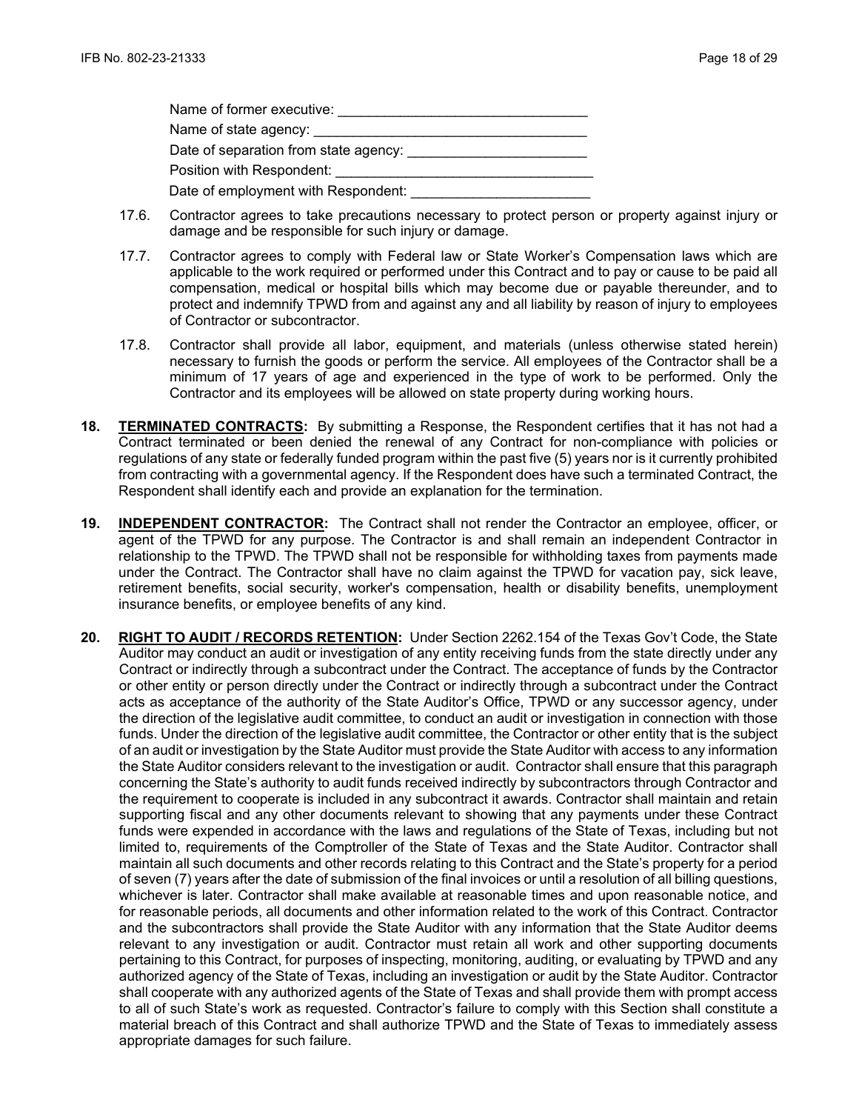| Name of former executive:             |
|---------------------------------------|
|                                       |
| Date of separation from state agency: |
| Position with Respondent:             |
| Date of employment with Respondent:   |

- 17.6. Contractor agrees to take precautions necessary to protect person or property against injury or damage and be responsible for such injury or damage.
- 17.7. Contractor agrees to comply with Federal law or State Worker's Compensation laws which are applicable to the work required or performed under this Contract and to pay or cause to be paid all compensation, medical or hospital bills which may become due or payable thereunder, and to protect and indemnify TPWD from and against any and all liability by reason of injury to employees of Contractor or subcontractor.
- 17.8. Contractor shall provide all labor, equipment, and materials (unless otherwise stated herein) necessary to furnish the goods or perform the service. All employees of the Contractor shall be a minimum of 17 years of age and experienced in the type of work to be performed. Only the Contractor and its employees will be allowed on state property during working hours.
- **18. TERMINATED CONTRACTS:** By submitting a Response, the Respondent certifies that it has not had a Contract terminated or been denied the renewal of any Contract for non-compliance with policies or regulations of any state or federally funded program within the past five (5) years nor is it currently prohibited from contracting with a governmental agency. If the Respondent does have such a terminated Contract, the Respondent shall identify each and provide an explanation for the termination.
- **19. INDEPENDENT CONTRACTOR:** The Contract shall not render the Contractor an employee, officer, or agent of the TPWD for any purpose. The Contractor is and shall remain an independent Contractor in relationship to the TPWD. The TPWD shall not be responsible for withholding taxes from payments made under the Contract. The Contractor shall have no claim against the TPWD for vacation pay, sick leave, retirement benefits, social security, worker's compensation, health or disability benefits, unemployment insurance benefits, or employee benefits of any kind.
- **20. RIGHT TO AUDIT / RECORDS RETENTION:** Under Section 2262.154 of the Texas Gov't Code, the State Auditor may conduct an audit or investigation of any entity receiving funds from the state directly under any Contract or indirectly through a subcontract under the Contract. The acceptance of funds by the Contractor or other entity or person directly under the Contract or indirectly through a subcontract under the Contract acts as acceptance of the authority of the State Auditor's Office, TPWD or any successor agency, under the direction of the legislative audit committee, to conduct an audit or investigation in connection with those funds. Under the direction of the legislative audit committee, the Contractor or other entity that is the subject of an audit or investigation by the State Auditor must provide the State Auditor with access to any information the State Auditor considers relevant to the investigation or audit. Contractor shall ensure that this paragraph concerning the State's authority to audit funds received indirectly by subcontractors through Contractor and the requirement to cooperate is included in any subcontract it awards. Contractor shall maintain and retain supporting fiscal and any other documents relevant to showing that any payments under these Contract funds were expended in accordance with the laws and regulations of the State of Texas, including but not limited to, requirements of the Comptroller of the State of Texas and the State Auditor. Contractor shall maintain all such documents and other records relating to this Contract and the State's property for a period of seven (7) years after the date of submission of the final invoices or until a resolution of all billing questions, whichever is later. Contractor shall make available at reasonable times and upon reasonable notice, and for reasonable periods, all documents and other information related to the work of this Contract. Contractor and the subcontractors shall provide the State Auditor with any information that the State Auditor deems relevant to any investigation or audit. Contractor must retain all work and other supporting documents pertaining to this Contract, for purposes of inspecting, monitoring, auditing, or evaluating by TPWD and any authorized agency of the State of Texas, including an investigation or audit by the State Auditor. Contractor shall cooperate with any authorized agents of the State of Texas and shall provide them with prompt access to all of such State's work as requested. Contractor's failure to comply with this Section shall constitute a material breach of this Contract and shall authorize TPWD and the State of Texas to immediately assess appropriate damages for such failure.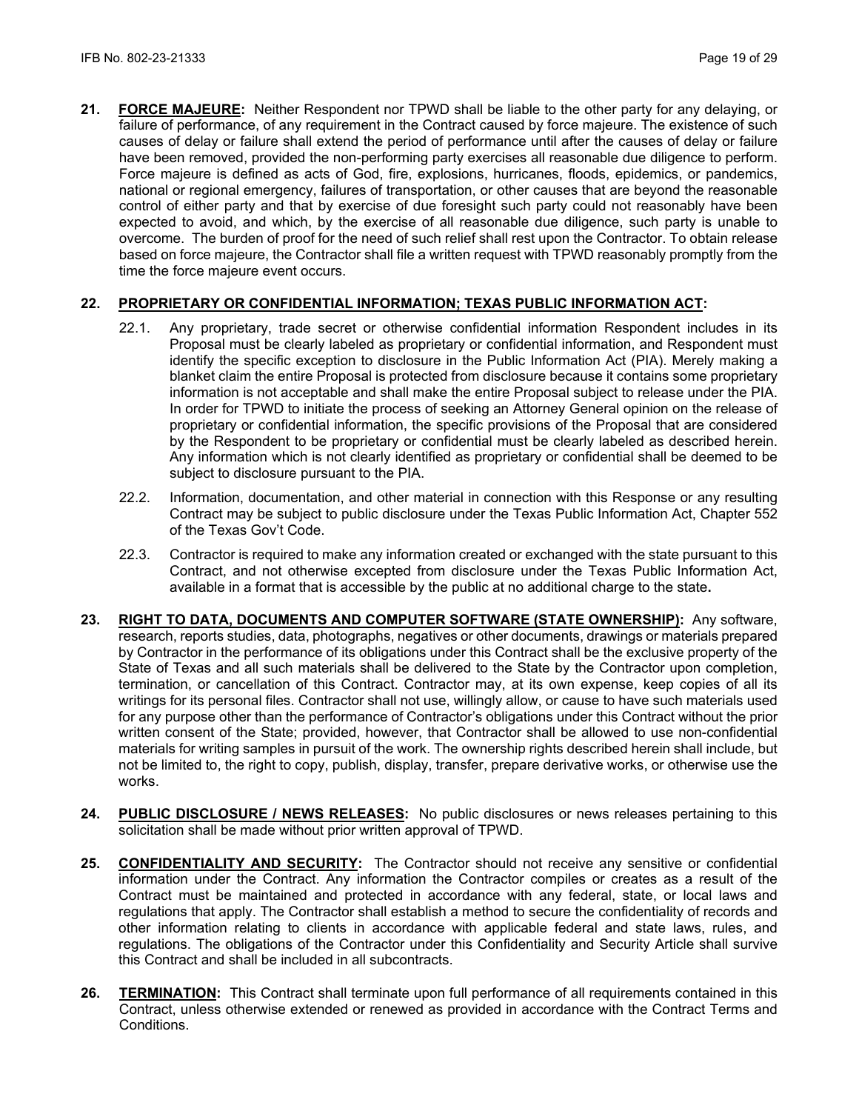**21. FORCE MAJEURE:** Neither Respondent nor TPWD shall be liable to the other party for any delaying, or failure of performance, of any requirement in the Contract caused by force majeure. The existence of such causes of delay or failure shall extend the period of performance until after the causes of delay or failure have been removed, provided the non-performing party exercises all reasonable due diligence to perform. Force majeure is defined as acts of God, fire, explosions, hurricanes, floods, epidemics, or pandemics, national or regional emergency, failures of transportation, or other causes that are beyond the reasonable control of either party and that by exercise of due foresight such party could not reasonably have been expected to avoid, and which, by the exercise of all reasonable due diligence, such party is unable to overcome. The burden of proof for the need of such relief shall rest upon the Contractor. To obtain release based on force majeure, the Contractor shall file a written request with TPWD reasonably promptly from the time the force majeure event occurs.

## **22. PROPRIETARY OR CONFIDENTIAL INFORMATION; TEXAS PUBLIC INFORMATION ACT:**

- 22.1. Any proprietary, trade secret or otherwise confidential information Respondent includes in its Proposal must be clearly labeled as proprietary or confidential information, and Respondent must identify the specific exception to disclosure in the Public Information Act (PIA). Merely making a blanket claim the entire Proposal is protected from disclosure because it contains some proprietary information is not acceptable and shall make the entire Proposal subject to release under the PIA. In order for TPWD to initiate the process of seeking an Attorney General opinion on the release of proprietary or confidential information, the specific provisions of the Proposal that are considered by the Respondent to be proprietary or confidential must be clearly labeled as described herein. Any information which is not clearly identified as proprietary or confidential shall be deemed to be subject to disclosure pursuant to the PIA.
- 22.2. Information, documentation, and other material in connection with this Response or any resulting Contract may be subject to public disclosure under the Texas Public Information Act, Chapter 552 of the Texas Gov't Code.
- 22.3. Contractor is required to make any information created or exchanged with the state pursuant to this Contract, and not otherwise excepted from disclosure under the Texas Public Information Act, available in a format that is accessible by the public at no additional charge to the state**.**
- **23. RIGHT TO DATA, DOCUMENTS AND COMPUTER SOFTWARE (STATE OWNERSHIP):** Any software, research, reports studies, data, photographs, negatives or other documents, drawings or materials prepared by Contractor in the performance of its obligations under this Contract shall be the exclusive property of the State of Texas and all such materials shall be delivered to the State by the Contractor upon completion, termination, or cancellation of this Contract. Contractor may, at its own expense, keep copies of all its writings for its personal files. Contractor shall not use, willingly allow, or cause to have such materials used for any purpose other than the performance of Contractor's obligations under this Contract without the prior written consent of the State; provided, however, that Contractor shall be allowed to use non-confidential materials for writing samples in pursuit of the work. The ownership rights described herein shall include, but not be limited to, the right to copy, publish, display, transfer, prepare derivative works, or otherwise use the works.
- **24. PUBLIC DISCLOSURE / NEWS RELEASES:** No public disclosures or news releases pertaining to this solicitation shall be made without prior written approval of TPWD.
- **25. CONFIDENTIALITY AND SECURITY:** The Contractor should not receive any sensitive or confidential information under the Contract. Any information the Contractor compiles or creates as a result of the Contract must be maintained and protected in accordance with any federal, state, or local laws and regulations that apply. The Contractor shall establish a method to secure the confidentiality of records and other information relating to clients in accordance with applicable federal and state laws, rules, and regulations. The obligations of the Contractor under this Confidentiality and Security Article shall survive this Contract and shall be included in all subcontracts.
- **26. TERMINATION:** This Contract shall terminate upon full performance of all requirements contained in this Contract, unless otherwise extended or renewed as provided in accordance with the Contract Terms and Conditions.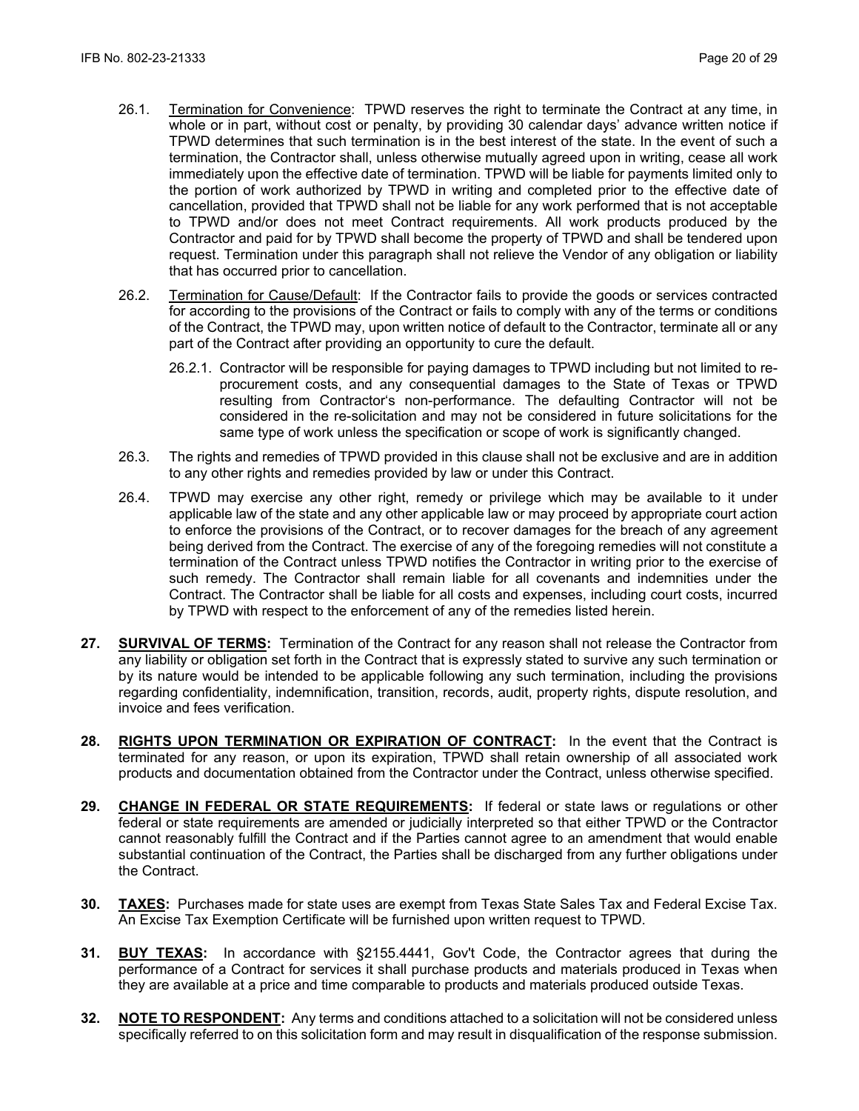- 26.1. Termination for Convenience: TPWD reserves the right to terminate the Contract at any time, in whole or in part, without cost or penalty, by providing 30 calendar days' advance written notice if TPWD determines that such termination is in the best interest of the state. In the event of such a termination, the Contractor shall, unless otherwise mutually agreed upon in writing, cease all work immediately upon the effective date of termination. TPWD will be liable for payments limited only to the portion of work authorized by TPWD in writing and completed prior to the effective date of cancellation, provided that TPWD shall not be liable for any work performed that is not acceptable to TPWD and/or does not meet Contract requirements. All work products produced by the Contractor and paid for by TPWD shall become the property of TPWD and shall be tendered upon request. Termination under this paragraph shall not relieve the Vendor of any obligation or liability that has occurred prior to cancellation.
- 26.2. Termination for Cause/Default: If the Contractor fails to provide the goods or services contracted for according to the provisions of the Contract or fails to comply with any of the terms or conditions of the Contract, the TPWD may, upon written notice of default to the Contractor, terminate all or any part of the Contract after providing an opportunity to cure the default.
	- 26.2.1. Contractor will be responsible for paying damages to TPWD including but not limited to reprocurement costs, and any consequential damages to the State of Texas or TPWD resulting from Contractor's non-performance. The defaulting Contractor will not be considered in the re-solicitation and may not be considered in future solicitations for the same type of work unless the specification or scope of work is significantly changed.
- 26.3. The rights and remedies of TPWD provided in this clause shall not be exclusive and are in addition to any other rights and remedies provided by law or under this Contract.
- 26.4. TPWD may exercise any other right, remedy or privilege which may be available to it under applicable law of the state and any other applicable law or may proceed by appropriate court action to enforce the provisions of the Contract, or to recover damages for the breach of any agreement being derived from the Contract. The exercise of any of the foregoing remedies will not constitute a termination of the Contract unless TPWD notifies the Contractor in writing prior to the exercise of such remedy. The Contractor shall remain liable for all covenants and indemnities under the Contract. The Contractor shall be liable for all costs and expenses, including court costs, incurred by TPWD with respect to the enforcement of any of the remedies listed herein.
- **27. SURVIVAL OF TERMS:** Termination of the Contract for any reason shall not release the Contractor from any liability or obligation set forth in the Contract that is expressly stated to survive any such termination or by its nature would be intended to be applicable following any such termination, including the provisions regarding confidentiality, indemnification, transition, records, audit, property rights, dispute resolution, and invoice and fees verification.
- **28. RIGHTS UPON TERMINATION OR EXPIRATION OF CONTRACT:** In the event that the Contract is terminated for any reason, or upon its expiration, TPWD shall retain ownership of all associated work products and documentation obtained from the Contractor under the Contract, unless otherwise specified.
- **29. CHANGE IN FEDERAL OR STATE REQUIREMENTS:** If federal or state laws or regulations or other federal or state requirements are amended or judicially interpreted so that either TPWD or the Contractor cannot reasonably fulfill the Contract and if the Parties cannot agree to an amendment that would enable substantial continuation of the Contract, the Parties shall be discharged from any further obligations under the Contract.
- **30. TAXES:** Purchases made for state uses are exempt from Texas State Sales Tax and Federal Excise Tax. An Excise Tax Exemption Certificate will be furnished upon written request to TPWD.
- **31. BUY TEXAS:** In accordance with §2155.4441, Gov't Code, the Contractor agrees that during the performance of a Contract for services it shall purchase products and materials produced in Texas when they are available at a price and time comparable to products and materials produced outside Texas.
- **32. NOTE TO RESPONDENT:** Any terms and conditions attached to a solicitation will not be considered unless specifically referred to on this solicitation form and may result in disqualification of the response submission.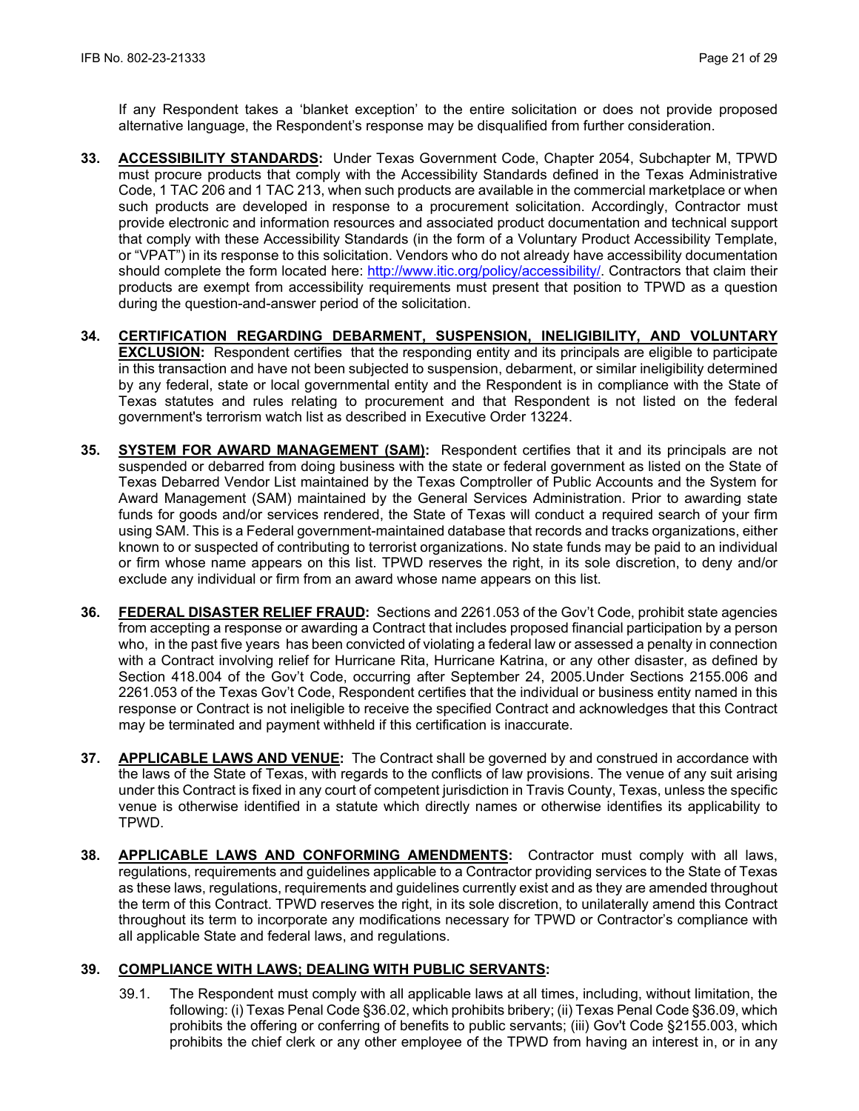If any Respondent takes a 'blanket exception' to the entire solicitation or does not provide proposed alternative language, the Respondent's response may be disqualified from further consideration.

- **33. ACCESSIBILITY STANDARDS:** Under Texas Government Code, Chapter 2054, Subchapter M, TPWD must procure products that comply with the Accessibility Standards defined in the Texas Administrative Code, 1 TAC 206 and 1 TAC 213, when such products are available in the commercial marketplace or when such products are developed in response to a procurement solicitation. Accordingly, Contractor must provide electronic and information resources and associated product documentation and technical support that comply with these Accessibility Standards (in the form of a Voluntary Product Accessibility Template, or "VPAT") in its response to this solicitation. Vendors who do not already have accessibility documentation should complete the form located here: [http://www.itic.org/policy/accessibility/.](http://www.itic.org/policy/accessibility/) Contractors that claim their products are exempt from accessibility requirements must present that position to TPWD as a question during the question-and-answer period of the solicitation.
- **34. CERTIFICATION REGARDING DEBARMENT, SUSPENSION, INELIGIBILITY, AND VOLUNTARY EXCLUSION:** Respondent certifies that the responding entity and its principals are eligible to participate in this transaction and have not been subjected to suspension, debarment, or similar ineligibility determined by any federal, state or local governmental entity and the Respondent is in compliance with the State of Texas statutes and rules relating to procurement and that Respondent is not listed on the federal government's terrorism watch list as described in Executive Order 13224.
- **35. SYSTEM FOR AWARD MANAGEMENT (SAM):** Respondent certifies that it and its principals are not suspended or debarred from doing business with the state or federal government as listed on the State of Texas Debarred Vendor List maintained by the Texas Comptroller of Public Accounts and the System for Award Management (SAM) maintained by the General Services Administration. Prior to awarding state funds for goods and/or services rendered, the State of Texas will conduct a required search of your firm using SAM. This is a Federal government-maintained database that records and tracks organizations, either known to or suspected of contributing to terrorist organizations. No state funds may be paid to an individual or firm whose name appears on this list. TPWD reserves the right, in its sole discretion, to deny and/or exclude any individual or firm from an award whose name appears on this list.
- **36. FEDERAL DISASTER RELIEF FRAUD:** Sections and 2261.053 of the Gov't Code, prohibit state agencies from accepting a response or awarding a Contract that includes proposed financial participation by a person who, in the past five years has been convicted of violating a federal law or assessed a penalty in connection with a Contract involving relief for Hurricane Rita, Hurricane Katrina, or any other disaster, as defined by Section 418.004 of the Gov't Code, occurring after September 24, 2005.Under Sections 2155.006 and 2261.053 of the Texas Gov't Code, Respondent certifies that the individual or business entity named in this response or Contract is not ineligible to receive the specified Contract and acknowledges that this Contract may be terminated and payment withheld if this certification is inaccurate.
- **37. APPLICABLE LAWS AND VENUE:** The Contract shall be governed by and construed in accordance with the laws of the State of Texas, with regards to the conflicts of law provisions. The venue of any suit arising under this Contract is fixed in any court of competent jurisdiction in Travis County, Texas, unless the specific venue is otherwise identified in a statute which directly names or otherwise identifies its applicability to TPWD.
- **38. APPLICABLE LAWS AND CONFORMING AMENDMENTS:** Contractor must comply with all laws, regulations, requirements and guidelines applicable to a Contractor providing services to the State of Texas as these laws, regulations, requirements and guidelines currently exist and as they are amended throughout the term of this Contract. TPWD reserves the right, in its sole discretion, to unilaterally amend this Contract throughout its term to incorporate any modifications necessary for TPWD or Contractor's compliance with all applicable State and federal laws, and regulations.

## **39. COMPLIANCE WITH LAWS; DEALING WITH PUBLIC SERVANTS:**

39.1. The Respondent must comply with all applicable laws at all times, including, without limitation, the following: (i) Texas Penal Code §36.02, which prohibits bribery; (ii) Texas Penal Code §36.09, which prohibits the offering or conferring of benefits to public servants; (iii) Gov't Code §2155.003, which prohibits the chief clerk or any other employee of the TPWD from having an interest in, or in any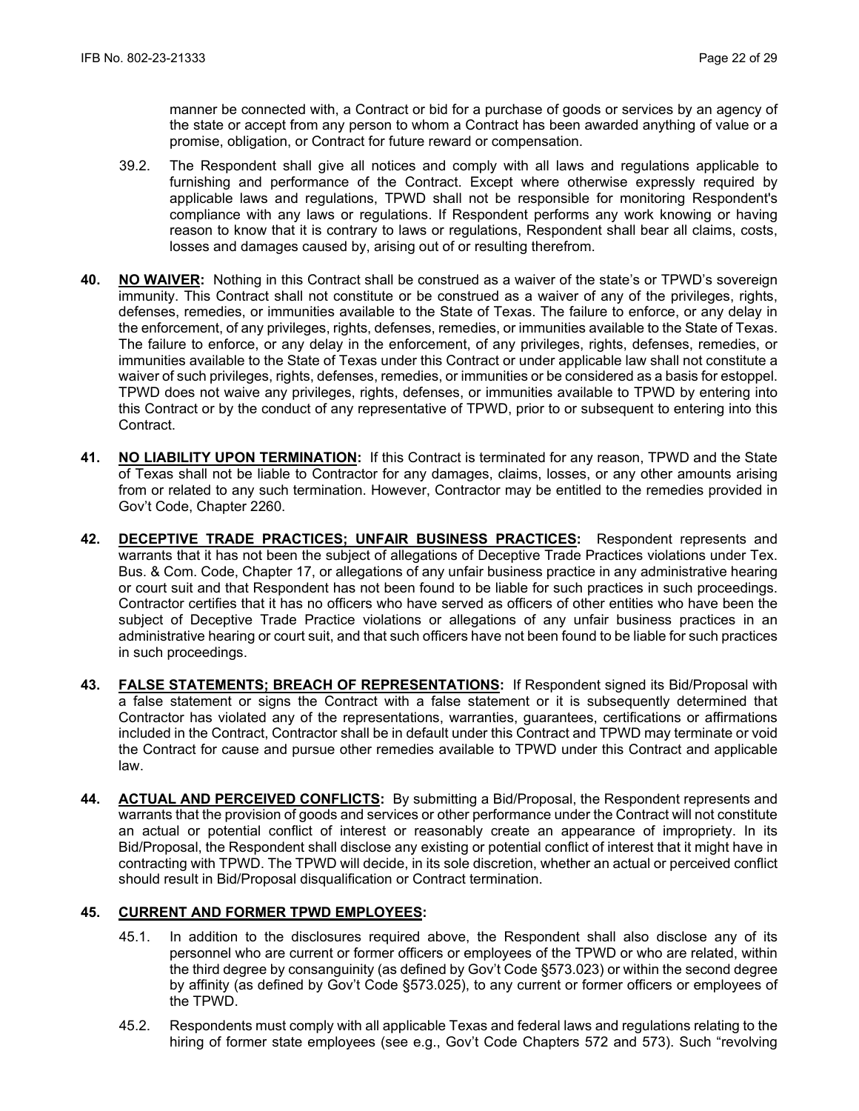manner be connected with, a Contract or bid for a purchase of goods or services by an agency of the state or accept from any person to whom a Contract has been awarded anything of value or a promise, obligation, or Contract for future reward or compensation.

- 39.2. The Respondent shall give all notices and comply with all laws and regulations applicable to furnishing and performance of the Contract. Except where otherwise expressly required by applicable laws and regulations, TPWD shall not be responsible for monitoring Respondent's compliance with any laws or regulations. If Respondent performs any work knowing or having reason to know that it is contrary to laws or regulations, Respondent shall bear all claims, costs, losses and damages caused by, arising out of or resulting therefrom.
- **40. NO WAIVER:** Nothing in this Contract shall be construed as a waiver of the state's or TPWD's sovereign immunity. This Contract shall not constitute or be construed as a waiver of any of the privileges, rights, defenses, remedies, or immunities available to the State of Texas. The failure to enforce, or any delay in the enforcement, of any privileges, rights, defenses, remedies, or immunities available to the State of Texas. The failure to enforce, or any delay in the enforcement, of any privileges, rights, defenses, remedies, or immunities available to the State of Texas under this Contract or under applicable law shall not constitute a waiver of such privileges, rights, defenses, remedies, or immunities or be considered as a basis for estoppel. TPWD does not waive any privileges, rights, defenses, or immunities available to TPWD by entering into this Contract or by the conduct of any representative of TPWD, prior to or subsequent to entering into this Contract.
- **41. NO LIABILITY UPON TERMINATION:** If this Contract is terminated for any reason, TPWD and the State of Texas shall not be liable to Contractor for any damages, claims, losses, or any other amounts arising from or related to any such termination. However, Contractor may be entitled to the remedies provided in Gov't Code, Chapter 2260.
- **42. DECEPTIVE TRADE PRACTICES; UNFAIR BUSINESS PRACTICES:** Respondent represents and warrants that it has not been the subject of allegations of Deceptive Trade Practices violations under Tex. Bus. & Com. Code, Chapter 17, or allegations of any unfair business practice in any administrative hearing or court suit and that Respondent has not been found to be liable for such practices in such proceedings. Contractor certifies that it has no officers who have served as officers of other entities who have been the subject of Deceptive Trade Practice violations or allegations of any unfair business practices in an administrative hearing or court suit, and that such officers have not been found to be liable for such practices in such proceedings.
- **43. FALSE STATEMENTS; BREACH OF REPRESENTATIONS:** If Respondent signed its Bid/Proposal with a false statement or signs the Contract with a false statement or it is subsequently determined that Contractor has violated any of the representations, warranties, guarantees, certifications or affirmations included in the Contract, Contractor shall be in default under this Contract and TPWD may terminate or void the Contract for cause and pursue other remedies available to TPWD under this Contract and applicable law.
- **44. ACTUAL AND PERCEIVED CONFLICTS:** By submitting a Bid/Proposal, the Respondent represents and warrants that the provision of goods and services or other performance under the Contract will not constitute an actual or potential conflict of interest or reasonably create an appearance of impropriety. In its Bid/Proposal, the Respondent shall disclose any existing or potential conflict of interest that it might have in contracting with TPWD. The TPWD will decide, in its sole discretion, whether an actual or perceived conflict should result in Bid/Proposal disqualification or Contract termination.

### **45. CURRENT AND FORMER TPWD EMPLOYEES:**

- 45.1. In addition to the disclosures required above, the Respondent shall also disclose any of its personnel who are current or former officers or employees of the TPWD or who are related, within the third degree by consanguinity (as defined by Gov't Code §573.023) or within the second degree by affinity (as defined by Gov't Code §573.025), to any current or former officers or employees of the TPWD.
- 45.2. Respondents must comply with all applicable Texas and federal laws and regulations relating to the hiring of former state employees (see e.g., Gov't Code Chapters 572 and 573). Such "revolving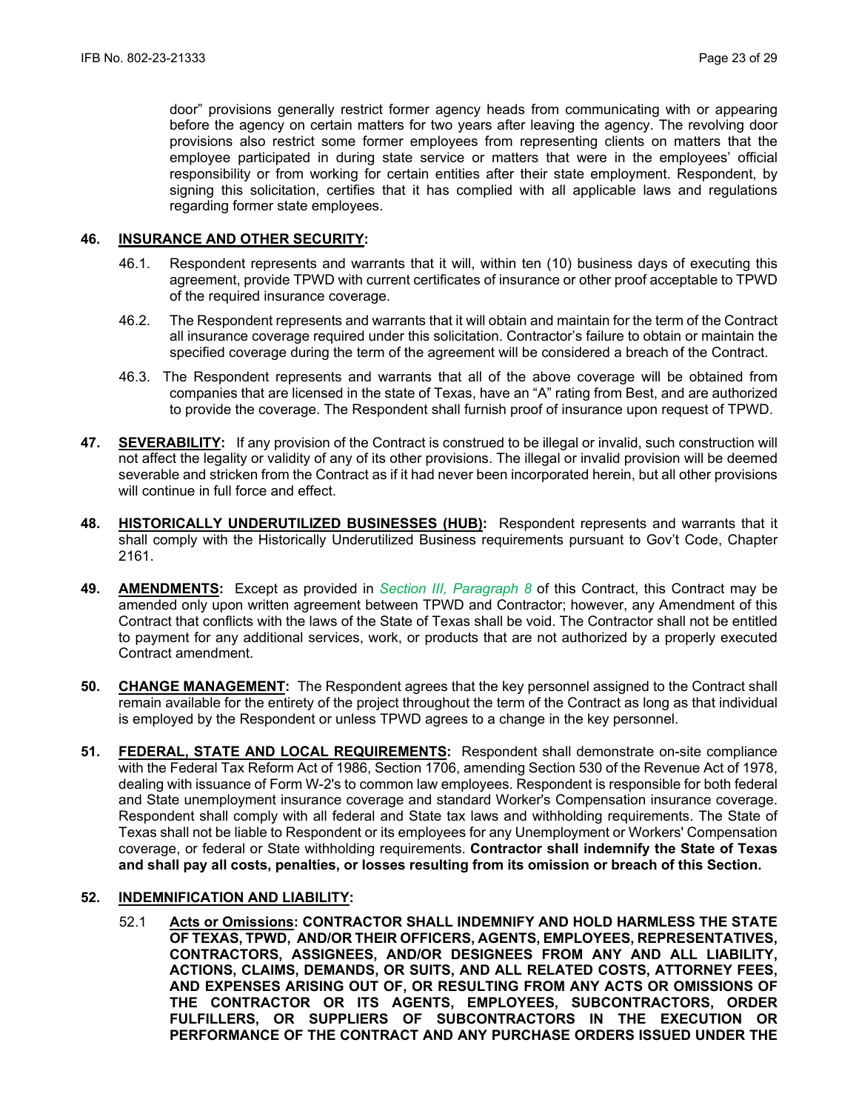door" provisions generally restrict former agency heads from communicating with or appearing before the agency on certain matters for two years after leaving the agency. The revolving door provisions also restrict some former employees from representing clients on matters that the employee participated in during state service or matters that were in the employees' official responsibility or from working for certain entities after their state employment. Respondent, by signing this solicitation, certifies that it has complied with all applicable laws and regulations regarding former state employees.

#### **46. INSURANCE AND OTHER SECURITY:**

- 46.1. Respondent represents and warrants that it will, within ten (10) business days of executing this agreement, provide TPWD with current certificates of insurance or other proof acceptable to TPWD of the required insurance coverage.
- 46.2. The Respondent represents and warrants that it will obtain and maintain for the term of the Contract all insurance coverage required under this solicitation. Contractor's failure to obtain or maintain the specified coverage during the term of the agreement will be considered a breach of the Contract.
- 46.3. The Respondent represents and warrants that all of the above coverage will be obtained from companies that are licensed in the state of Texas, have an "A" rating from Best, and are authorized to provide the coverage. The Respondent shall furnish proof of insurance upon request of TPWD.
- **47. SEVERABILITY:** If any provision of the Contract is construed to be illegal or invalid, such construction will not affect the legality or validity of any of its other provisions. The illegal or invalid provision will be deemed severable and stricken from the Contract as if it had never been incorporated herein, but all other provisions will continue in full force and effect.
- **48. HISTORICALLY UNDERUTILIZED BUSINESSES (HUB):** Respondent represents and warrants that it shall comply with the Historically Underutilized Business requirements pursuant to Gov't Code, Chapter 2161.
- **49. AMENDMENTS:** Except as provided in *Section III, Paragraph 8* of this Contract, this Contract may be amended only upon written agreement between TPWD and Contractor; however, any Amendment of this Contract that conflicts with the laws of the State of Texas shall be void. The Contractor shall not be entitled to payment for any additional services, work, or products that are not authorized by a properly executed Contract amendment.
- **50. CHANGE MANAGEMENT:** The Respondent agrees that the key personnel assigned to the Contract shall remain available for the entirety of the project throughout the term of the Contract as long as that individual is employed by the Respondent or unless TPWD agrees to a change in the key personnel.
- **51. FEDERAL, STATE AND LOCAL REQUIREMENTS:** Respondent shall demonstrate on-site compliance with the Federal Tax Reform Act of 1986, Section 1706, amending Section 530 of the Revenue Act of 1978, dealing with issuance of Form W-2's to common law employees. Respondent is responsible for both federal and State unemployment insurance coverage and standard Worker's Compensation insurance coverage. Respondent shall comply with all federal and State tax laws and withholding requirements. The State of Texas shall not be liable to Respondent or its employees for any Unemployment or Workers' Compensation coverage, or federal or State withholding requirements. **Contractor shall indemnify the State of Texas and shall pay all costs, penalties, or losses resulting from its omission or breach of this Section.**

#### **52. INDEMNIFICATION AND LIABILITY:**

52.1 **Acts or Omissions: CONTRACTOR SHALL INDEMNIFY AND HOLD HARMLESS THE STATE OF TEXAS, TPWD, AND/OR THEIR OFFICERS, AGENTS, EMPLOYEES, REPRESENTATIVES, CONTRACTORS, ASSIGNEES, AND/OR DESIGNEES FROM ANY AND ALL LIABILITY, ACTIONS, CLAIMS, DEMANDS, OR SUITS, AND ALL RELATED COSTS, ATTORNEY FEES, AND EXPENSES ARISING OUT OF, OR RESULTING FROM ANY ACTS OR OMISSIONS OF THE CONTRACTOR OR ITS AGENTS, EMPLOYEES, SUBCONTRACTORS, ORDER FULFILLERS, OR SUPPLIERS OF SUBCONTRACTORS IN THE EXECUTION OR PERFORMANCE OF THE CONTRACT AND ANY PURCHASE ORDERS ISSUED UNDER THE**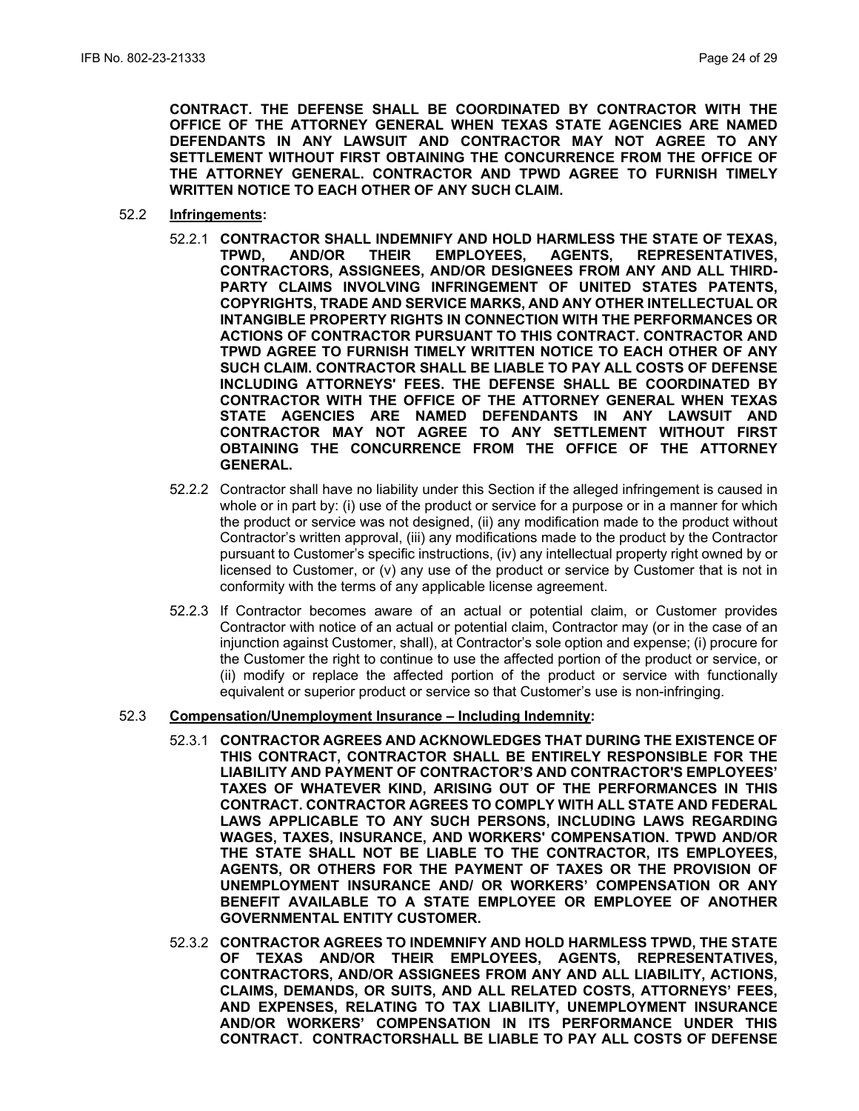**CONTRACT. THE DEFENSE SHALL BE COORDINATED BY CONTRACTOR WITH THE OFFICE OF THE ATTORNEY GENERAL WHEN TEXAS STATE AGENCIES ARE NAMED DEFENDANTS IN ANY LAWSUIT AND CONTRACTOR MAY NOT AGREE TO ANY SETTLEMENT WITHOUT FIRST OBTAINING THE CONCURRENCE FROM THE OFFICE OF THE ATTORNEY GENERAL. CONTRACTOR AND TPWD AGREE TO FURNISH TIMELY WRITTEN NOTICE TO EACH OTHER OF ANY SUCH CLAIM.**

- 52.2 **Infringements:**
	- 52.2.1 **CONTRACTOR SHALL INDEMNIFY AND HOLD HARMLESS THE STATE OF TEXAS,**  AGENTS, REPRESENTATIVES, **CONTRACTORS, ASSIGNEES, AND/OR DESIGNEES FROM ANY AND ALL THIRD-PARTY CLAIMS INVOLVING INFRINGEMENT OF UNITED STATES PATENTS, COPYRIGHTS, TRADE AND SERVICE MARKS, AND ANY OTHER INTELLECTUAL OR INTANGIBLE PROPERTY RIGHTS IN CONNECTION WITH THE PERFORMANCES OR ACTIONS OF CONTRACTOR PURSUANT TO THIS CONTRACT. CONTRACTOR AND TPWD AGREE TO FURNISH TIMELY WRITTEN NOTICE TO EACH OTHER OF ANY SUCH CLAIM. CONTRACTOR SHALL BE LIABLE TO PAY ALL COSTS OF DEFENSE INCLUDING ATTORNEYS' FEES. THE DEFENSE SHALL BE COORDINATED BY CONTRACTOR WITH THE OFFICE OF THE ATTORNEY GENERAL WHEN TEXAS STATE AGENCIES ARE NAMED DEFENDANTS IN ANY LAWSUIT AND CONTRACTOR MAY NOT AGREE TO ANY SETTLEMENT WITHOUT FIRST OBTAINING THE CONCURRENCE FROM THE OFFICE OF THE ATTORNEY GENERAL.**
	- 52.2.2 Contractor shall have no liability under this Section if the alleged infringement is caused in whole or in part by: (i) use of the product or service for a purpose or in a manner for which the product or service was not designed, (ii) any modification made to the product without Contractor's written approval, (iii) any modifications made to the product by the Contractor pursuant to Customer's specific instructions, (iv) any intellectual property right owned by or licensed to Customer, or (v) any use of the product or service by Customer that is not in conformity with the terms of any applicable license agreement.
	- 52.2.3 If Contractor becomes aware of an actual or potential claim, or Customer provides Contractor with notice of an actual or potential claim, Contractor may (or in the case of an injunction against Customer, shall), at Contractor's sole option and expense; (i) procure for the Customer the right to continue to use the affected portion of the product or service, or (ii) modify or replace the affected portion of the product or service with functionally equivalent or superior product or service so that Customer's use is non-infringing.
- 52.3 **Compensation/Unemployment Insurance – Including Indemnity:**
	- 52.3.1 **CONTRACTOR AGREES AND ACKNOWLEDGES THAT DURING THE EXISTENCE OF THIS CONTRACT, CONTRACTOR SHALL BE ENTIRELY RESPONSIBLE FOR THE LIABILITY AND PAYMENT OF CONTRACTOR'S AND CONTRACTOR'S EMPLOYEES' TAXES OF WHATEVER KIND, ARISING OUT OF THE PERFORMANCES IN THIS CONTRACT. CONTRACTOR AGREES TO COMPLY WITH ALL STATE AND FEDERAL LAWS APPLICABLE TO ANY SUCH PERSONS, INCLUDING LAWS REGARDING WAGES, TAXES, INSURANCE, AND WORKERS' COMPENSATION. TPWD AND/OR THE STATE SHALL NOT BE LIABLE TO THE CONTRACTOR, ITS EMPLOYEES, AGENTS, OR OTHERS FOR THE PAYMENT OF TAXES OR THE PROVISION OF UNEMPLOYMENT INSURANCE AND/ OR WORKERS' COMPENSATION OR ANY BENEFIT AVAILABLE TO A STATE EMPLOYEE OR EMPLOYEE OF ANOTHER GOVERNMENTAL ENTITY CUSTOMER.**
	- 52.3.2 **CONTRACTOR AGREES TO INDEMNIFY AND HOLD HARMLESS TPWD, THE STATE OF TEXAS AND/OR THEIR EMPLOYEES, AGENTS, REPRESENTATIVES, CONTRACTORS, AND/OR ASSIGNEES FROM ANY AND ALL LIABILITY, ACTIONS, CLAIMS, DEMANDS, OR SUITS, AND ALL RELATED COSTS, ATTORNEYS' FEES, AND EXPENSES, RELATING TO TAX LIABILITY, UNEMPLOYMENT INSURANCE AND/OR WORKERS' COMPENSATION IN ITS PERFORMANCE UNDER THIS CONTRACT. CONTRACTORSHALL BE LIABLE TO PAY ALL COSTS OF DEFENSE**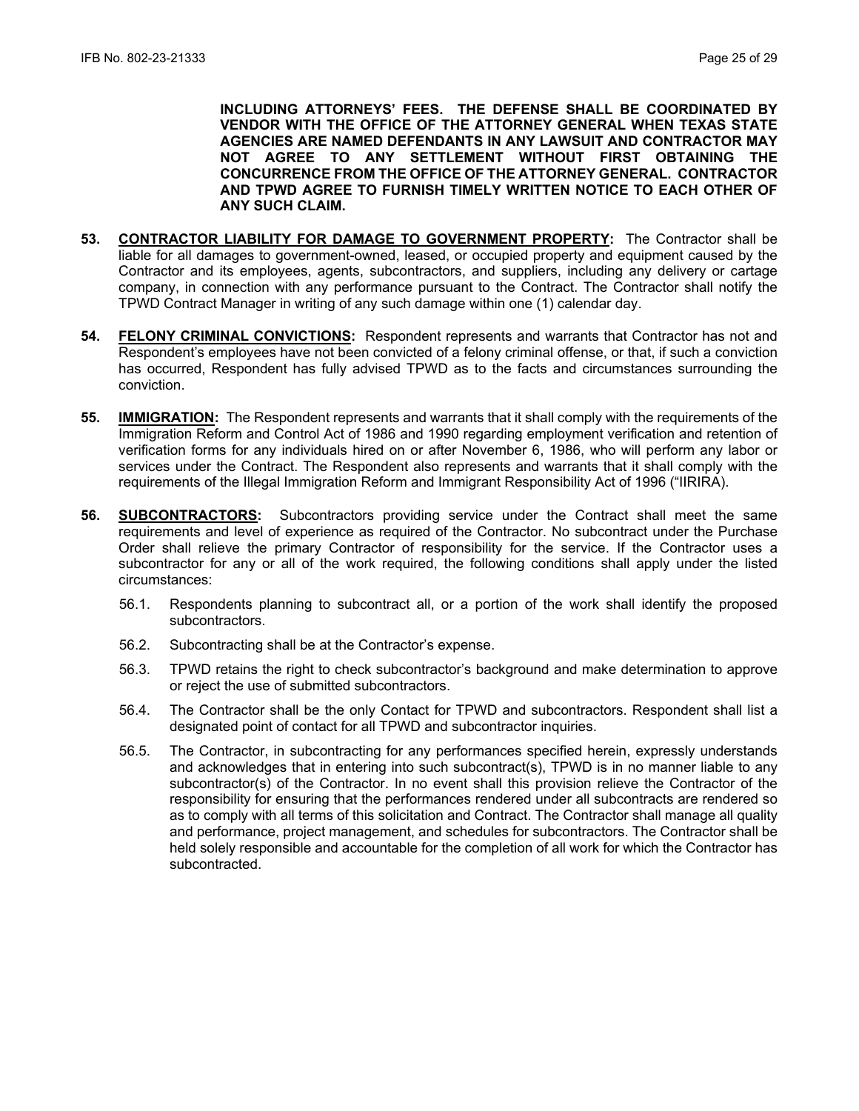**INCLUDING ATTORNEYS' FEES. THE DEFENSE SHALL BE COORDINATED BY VENDOR WITH THE OFFICE OF THE ATTORNEY GENERAL WHEN TEXAS STATE AGENCIES ARE NAMED DEFENDANTS IN ANY LAWSUIT AND CONTRACTOR MAY NOT AGREE TO ANY SETTLEMENT WITHOUT FIRST OBTAINING THE CONCURRENCE FROM THE OFFICE OF THE ATTORNEY GENERAL. CONTRACTOR AND TPWD AGREE TO FURNISH TIMELY WRITTEN NOTICE TO EACH OTHER OF ANY SUCH CLAIM.** 

- **53. CONTRACTOR LIABILITY FOR DAMAGE TO GOVERNMENT PROPERTY:** The Contractor shall be liable for all damages to government-owned, leased, or occupied property and equipment caused by the Contractor and its employees, agents, subcontractors, and suppliers, including any delivery or cartage company, in connection with any performance pursuant to the Contract. The Contractor shall notify the TPWD Contract Manager in writing of any such damage within one (1) calendar day.
- **54. FELONY CRIMINAL CONVICTIONS:** Respondent represents and warrants that Contractor has not and Respondent's employees have not been convicted of a felony criminal offense, or that, if such a conviction has occurred, Respondent has fully advised TPWD as to the facts and circumstances surrounding the conviction.
- **55. IMMIGRATION:** The Respondent represents and warrants that it shall comply with the requirements of the Immigration Reform and Control Act of 1986 and 1990 regarding employment verification and retention of verification forms for any individuals hired on or after November 6, 1986, who will perform any labor or services under the Contract. The Respondent also represents and warrants that it shall comply with the requirements of the Illegal Immigration Reform and Immigrant Responsibility Act of 1996 ("IIRIRA).
- **56. SUBCONTRACTORS:** Subcontractors providing service under the Contract shall meet the same requirements and level of experience as required of the Contractor. No subcontract under the Purchase Order shall relieve the primary Contractor of responsibility for the service. If the Contractor uses a subcontractor for any or all of the work required, the following conditions shall apply under the listed circumstances:
	- 56.1. Respondents planning to subcontract all, or a portion of the work shall identify the proposed subcontractors.
	- 56.2. Subcontracting shall be at the Contractor's expense.
	- 56.3. TPWD retains the right to check subcontractor's background and make determination to approve or reject the use of submitted subcontractors.
	- 56.4. The Contractor shall be the only Contact for TPWD and subcontractors. Respondent shall list a designated point of contact for all TPWD and subcontractor inquiries.
	- 56.5. The Contractor, in subcontracting for any performances specified herein, expressly understands and acknowledges that in entering into such subcontract(s), TPWD is in no manner liable to any subcontractor(s) of the Contractor. In no event shall this provision relieve the Contractor of the responsibility for ensuring that the performances rendered under all subcontracts are rendered so as to comply with all terms of this solicitation and Contract. The Contractor shall manage all quality and performance, project management, and schedules for subcontractors. The Contractor shall be held solely responsible and accountable for the completion of all work for which the Contractor has subcontracted.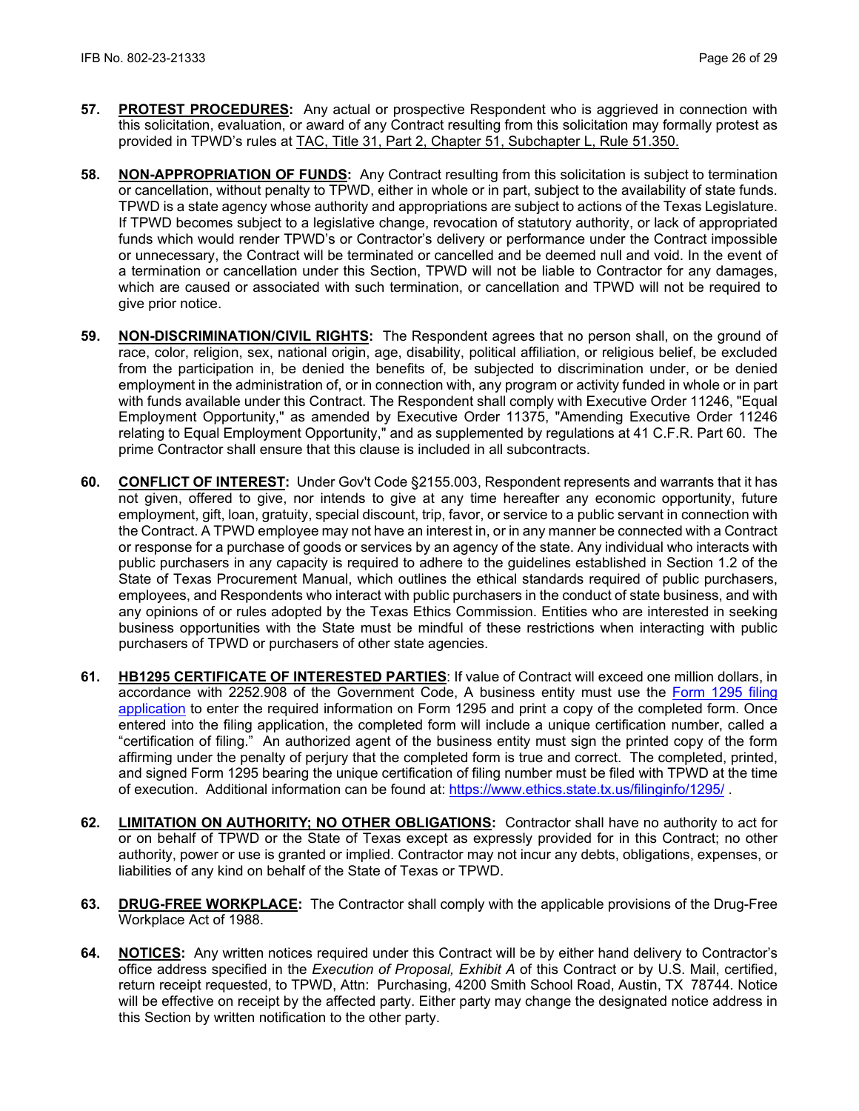- **57. PROTEST PROCEDURES:** Any actual or prospective Respondent who is aggrieved in connection with this solicitation, evaluation, or award of any Contract resulting from this solicitation may formally protest as provided in TPWD's rules at [TAC, Title 31, Part 2, Chapter 51, Subchapter L, Rule 51.350.](http://texreg.sos.state.tx.us/public/readtac$ext.TacPage?sl=R&app=9&p_dir=&p_rloc=&p_tloc=&p_ploc=&pg=1&p_tac=&ti=31&pt=2&ch=51&rl=350)
- **58. NON-APPROPRIATION OF FUNDS:** Any Contract resulting from this solicitation is subject to termination or cancellation, without penalty to TPWD, either in whole or in part, subject to the availability of state funds. TPWD is a state agency whose authority and appropriations are subject to actions of the Texas Legislature. If TPWD becomes subject to a legislative change, revocation of statutory authority, or lack of appropriated funds which would render TPWD's or Contractor's delivery or performance under the Contract impossible or unnecessary, the Contract will be terminated or cancelled and be deemed null and void. In the event of a termination or cancellation under this Section, TPWD will not be liable to Contractor for any damages, which are caused or associated with such termination, or cancellation and TPWD will not be required to give prior notice.
- **59. NON-DISCRIMINATION/CIVIL RIGHTS:** The Respondent agrees that no person shall, on the ground of race, color, religion, sex, national origin, age, disability, political affiliation, or religious belief, be excluded from the participation in, be denied the benefits of, be subjected to discrimination under, or be denied employment in the administration of, or in connection with, any program or activity funded in whole or in part with funds available under this Contract. The Respondent shall comply with Executive Order 11246, "Equal Employment Opportunity," as amended by Executive Order 11375, "Amending Executive Order 11246 relating to Equal Employment Opportunity," and as supplemented by regulations at 41 C.F.R. Part 60. The prime Contractor shall ensure that this clause is included in all subcontracts.
- **60. CONFLICT OF INTEREST:** Under Gov't Code §2155.003, Respondent represents and warrants that it has not given, offered to give, nor intends to give at any time hereafter any economic opportunity, future employment, gift, loan, gratuity, special discount, trip, favor, or service to a public servant in connection with the Contract. A TPWD employee may not have an interest in, or in any manner be connected with a Contract or response for a purchase of goods or services by an agency of the state. Any individual who interacts with public purchasers in any capacity is required to adhere to the guidelines established in Section 1.2 of the State of Texas Procurement Manual, which outlines the ethical standards required of public purchasers, employees, and Respondents who interact with public purchasers in the conduct of state business, and with any opinions of or rules adopted by the Texas Ethics Commission. Entities who are interested in seeking business opportunities with the State must be mindful of these restrictions when interacting with public purchasers of TPWD or purchasers of other state agencies.
- **61. HB1295 CERTIFICATE OF INTERESTED PARTIES**: If value of Contract will exceed one million dollars, in accordance with 2252.908 of the Government Code, A business entity must use the [Form 1295 filing](https://www.ethics.state.tx.us/whatsnew/elf_info_form1295.htm)  [application](https://www.ethics.state.tx.us/whatsnew/elf_info_form1295.htm) to enter the required information on Form 1295 and print a copy of the completed form. Once entered into the filing application, the completed form will include a unique certification number, called a "certification of filing." An authorized agent of the business entity must sign the printed copy of the form affirming under the penalty of perjury that the completed form is true and correct. The completed, printed, and signed Form 1295 bearing the unique certification of filing number must be filed with TPWD at the time of execution. Additional information can be found at:<https://www.ethics.state.tx.us/filinginfo/1295/> .
- **62. LIMITATION ON AUTHORITY; NO OTHER OBLIGATIONS:** Contractor shall have no authority to act for or on behalf of TPWD or the State of Texas except as expressly provided for in this Contract; no other authority, power or use is granted or implied. Contractor may not incur any debts, obligations, expenses, or liabilities of any kind on behalf of the State of Texas or TPWD.
- **63. DRUG-FREE WORKPLACE:** The Contractor shall comply with the applicable provisions of the Drug-Free Workplace Act of 1988.
- **64. NOTICES:** Any written notices required under this Contract will be by either hand delivery to Contractor's office address specified in the *Execution of Proposal, Exhibit A* of this Contract or by U.S. Mail, certified, return receipt requested, to TPWD, Attn: Purchasing, 4200 Smith School Road, Austin, TX 78744*.* Notice will be effective on receipt by the affected party. Either party may change the designated notice address in this Section by written notification to the other party.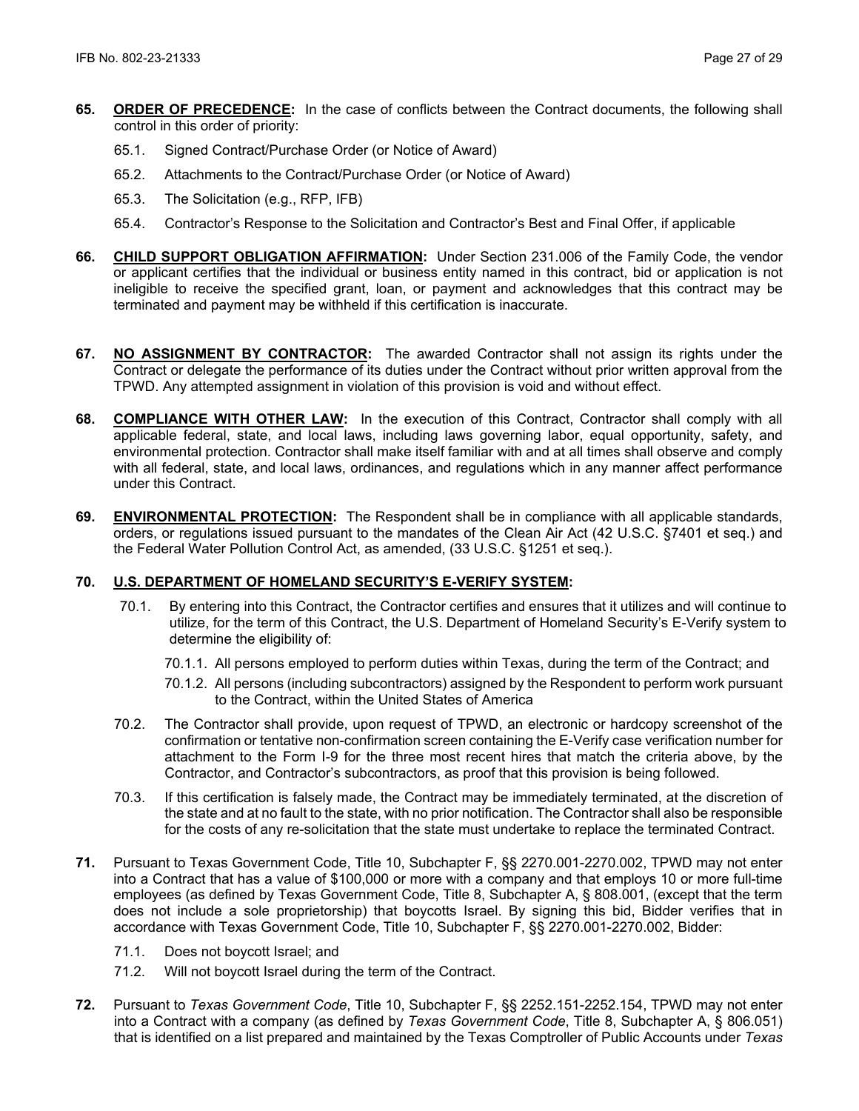- **65. ORDER OF PRECEDENCE:** In the case of conflicts between the Contract documents, the following shall control in this order of priority:
	- 65.1. Signed Contract/Purchase Order (or Notice of Award)
	- 65.2. Attachments to the Contract/Purchase Order (or Notice of Award)
	- 65.3. The Solicitation (e.g., RFP, IFB)
	- 65.4. Contractor's Response to the Solicitation and Contractor's Best and Final Offer, if applicable
- **66. CHILD SUPPORT OBLIGATION AFFIRMATION:** Under Section 231.006 of the Family Code, the vendor or applicant certifies that the individual or business entity named in this contract, bid or application is not ineligible to receive the specified grant, loan, or payment and acknowledges that this contract may be terminated and payment may be withheld if this certification is inaccurate.
- **67. NO ASSIGNMENT BY CONTRACTOR:** The awarded Contractor shall not assign its rights under the Contract or delegate the performance of its duties under the Contract without prior written approval from the TPWD. Any attempted assignment in violation of this provision is void and without effect.
- **68. COMPLIANCE WITH OTHER LAW:** In the execution of this Contract, Contractor shall comply with all applicable federal, state, and local laws, including laws governing labor, equal opportunity, safety, and environmental protection. Contractor shall make itself familiar with and at all times shall observe and comply with all federal, state, and local laws, ordinances, and regulations which in any manner affect performance under this Contract.
- **69. ENVIRONMENTAL PROTECTION:** The Respondent shall be in compliance with all applicable standards, orders, or regulations issued pursuant to the mandates of the Clean Air Act (42 U.S.C. §7401 et seq.) and the Federal Water Pollution Control Act, as amended, (33 U.S.C. §1251 et seq.).

## **70. U.S. DEPARTMENT OF HOMELAND SECURITY'S E-VERIFY SYSTEM:**

- 70.1. By entering into this Contract, the Contractor certifies and ensures that it utilizes and will continue to utilize, for the term of this Contract, the U.S. Department of Homeland Security's E-Verify system to determine the eligibility of:
	- 70.1.1. All persons employed to perform duties within Texas, during the term of the Contract; and
	- 70.1.2. All persons (including subcontractors) assigned by the Respondent to perform work pursuant to the Contract, within the United States of America
- 70.2. The Contractor shall provide, upon request of TPWD, an electronic or hardcopy screenshot of the confirmation or tentative non-confirmation screen containing the E-Verify case verification number for attachment to the Form I-9 for the three most recent hires that match the criteria above, by the Contractor, and Contractor's subcontractors, as proof that this provision is being followed.
- 70.3. If this certification is falsely made, the Contract may be immediately terminated, at the discretion of the state and at no fault to the state, with no prior notification. The Contractor shall also be responsible for the costs of any re-solicitation that the state must undertake to replace the terminated Contract.
- **71.** Pursuant to Texas Government Code, Title 10, Subchapter F, §§ 2270.001-2270.002, TPWD may not enter into a Contract that has a value of \$100,000 or more with a company and that employs 10 or more full-time employees (as defined by Texas Government Code, Title 8, Subchapter A, § 808.001, (except that the term does not include a sole proprietorship) that boycotts Israel. By signing this bid, Bidder verifies that in accordance with Texas Government Code, Title 10, Subchapter F, §§ 2270.001-2270.002, Bidder:
	- 71.1. Does not boycott Israel; and
	- 71.2. Will not boycott Israel during the term of the Contract.
- **72.** Pursuant to *Texas Government Code*, Title 10, Subchapter F, §§ 2252.151-2252.154, TPWD may not enter into a Contract with a company (as defined by *Texas Government Code*, Title 8, Subchapter A, § 806.051) that is identified on a list prepared and maintained by the Texas Comptroller of Public Accounts under *Texas*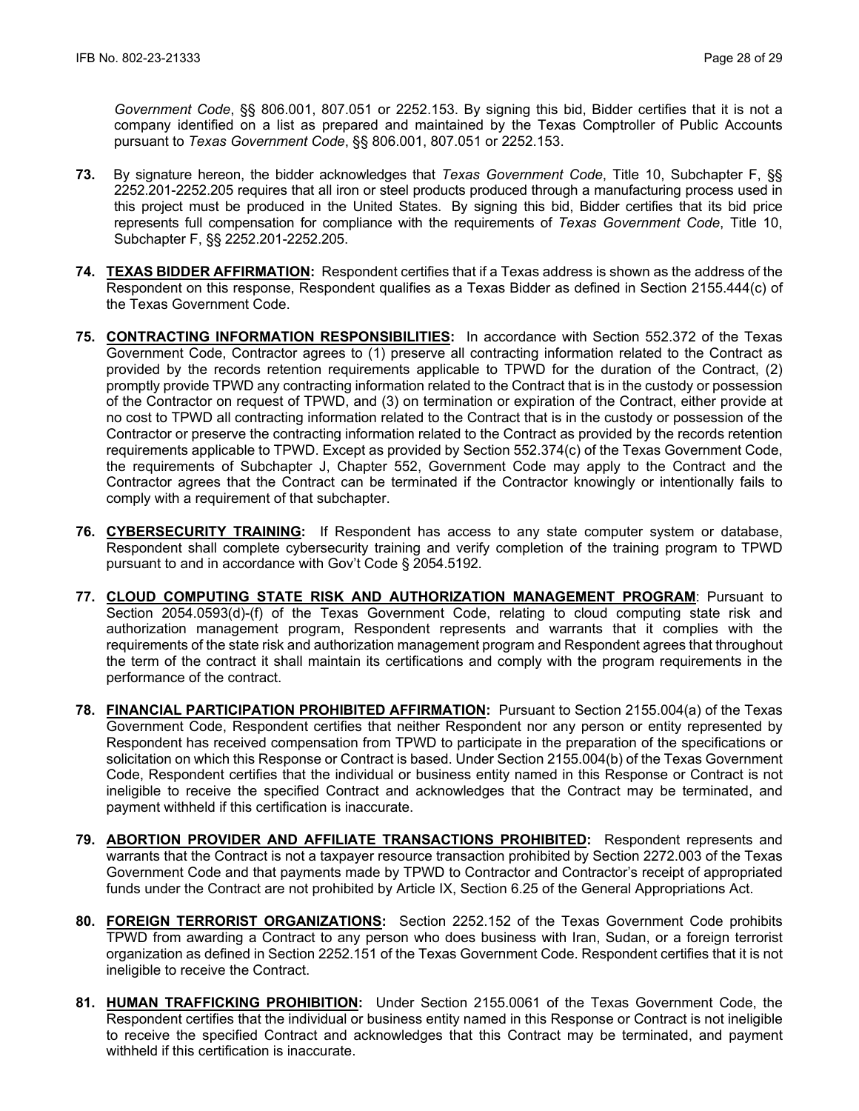*Government Code*, §§ 806.001, 807.051 or 2252.153. By signing this bid, Bidder certifies that it is not a company identified on a list as prepared and maintained by the Texas Comptroller of Public Accounts pursuant to *Texas Government Code*, §§ 806.001, 807.051 or 2252.153.

- **73.** By signature hereon, the bidder acknowledges that *Texas Government Code*, Title 10, Subchapter F, §§ 2252.201-2252.205 requires that all iron or steel products produced through a manufacturing process used in this project must be produced in the United States. By signing this bid, Bidder certifies that its bid price represents full compensation for compliance with the requirements of *Texas Government Code*, Title 10, Subchapter F, §§ 2252.201-2252.205.
- **74. TEXAS BIDDER AFFIRMATION:** Respondent certifies that if a Texas address is shown as the address of the Respondent on this response, Respondent qualifies as a Texas Bidder as defined in Section 2155.444(c) of the Texas Government Code.
- **75. CONTRACTING INFORMATION RESPONSIBILITIES:** In accordance with Section 552.372 of the Texas Government Code, Contractor agrees to (1) preserve all contracting information related to the Contract as provided by the records retention requirements applicable to TPWD for the duration of the Contract, (2) promptly provide TPWD any contracting information related to the Contract that is in the custody or possession of the Contractor on request of TPWD, and (3) on termination or expiration of the Contract, either provide at no cost to TPWD all contracting information related to the Contract that is in the custody or possession of the Contractor or preserve the contracting information related to the Contract as provided by the records retention requirements applicable to TPWD. Except as provided by Section 552.374(c) of the Texas Government Code, the requirements of Subchapter J, Chapter 552, Government Code may apply to the Contract and the Contractor agrees that the Contract can be terminated if the Contractor knowingly or intentionally fails to comply with a requirement of that subchapter.
- **76. CYBERSECURITY TRAINING:** If Respondent has access to any state computer system or database, Respondent shall complete cybersecurity training and verify completion of the training program to TPWD pursuant to and in accordance with Gov't Code § 2054.5192.
- **77. CLOUD COMPUTING STATE RISK AND AUTHORIZATION MANAGEMENT PROGRAM**: Pursuant to Section 2054.0593(d)-(f) of the Texas Government Code, relating to cloud computing state risk and authorization management program, Respondent represents and warrants that it complies with the requirements of the state risk and authorization management program and Respondent agrees that throughout the term of the contract it shall maintain its certifications and comply with the program requirements in the performance of the contract.
- **78. FINANCIAL PARTICIPATION PROHIBITED AFFIRMATION:** Pursuant to Section 2155.004(a) of the Texas Government Code, Respondent certifies that neither Respondent nor any person or entity represented by Respondent has received compensation from TPWD to participate in the preparation of the specifications or solicitation on which this Response or Contract is based. Under Section 2155.004(b) of the Texas Government Code, Respondent certifies that the individual or business entity named in this Response or Contract is not ineligible to receive the specified Contract and acknowledges that the Contract may be terminated, and payment withheld if this certification is inaccurate.
- **79. ABORTION PROVIDER AND AFFILIATE TRANSACTIONS PROHIBITED:** Respondent represents and warrants that the Contract is not a taxpayer resource transaction prohibited by Section 2272.003 of the Texas Government Code and that payments made by TPWD to Contractor and Contractor's receipt of appropriated funds under the Contract are not prohibited by Article IX, Section 6.25 of the General Appropriations Act.
- **80. FOREIGN TERRORIST ORGANIZATIONS:** Section 2252.152 of the Texas Government Code prohibits TPWD from awarding a Contract to any person who does business with Iran, Sudan, or a foreign terrorist organization as defined in Section 2252.151 of the Texas Government Code. Respondent certifies that it is not ineligible to receive the Contract.
- **81. HUMAN TRAFFICKING PROHIBITION:** Under Section 2155.0061 of the Texas Government Code, the Respondent certifies that the individual or business entity named in this Response or Contract is not ineligible to receive the specified Contract and acknowledges that this Contract may be terminated, and payment withheld if this certification is inaccurate.